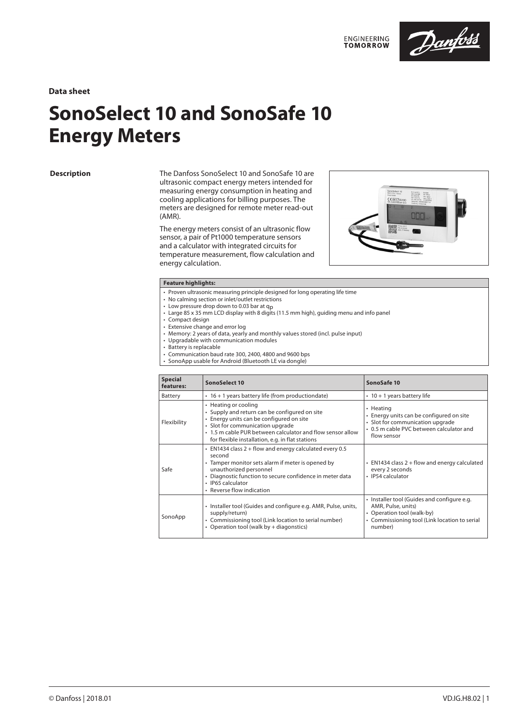

**Data sheet**

# **SonoSelect 10 and SonoSafe 10 Energy Meters**

### **Description**

The Danfoss SonoSelect 10 and SonoSafe 10 are ultrasonic compact energy meters intended for measuring energy consumption in heating and cooling applications for billing purposes. The meters are designed for remote meter read-out (AMR).

The energy meters consist of an ultrasonic flow sensor, a pair of Pt1000 temperature sensors and a calculator with integrated circuits for temperature measurement, flow calculation and energy calculation.



### **Feature highlights:**

- Proven ultrasonic measuring principle designed for long operating life time
- No calming section or inlet/outlet restrictions
- No canning secucion in intervative trestictions<br>• Low pressure drop down to 0.03 bar at q<sub>p</sub><br>• Large 85 x 35 mm LCD display with 8 digits (11.5 mm high), guiding menu and info panel
- Compact design
- Extensive change and error log
- Memory: 2 years of data, yearly and monthly values stored (incl. pulse input)
- Upgradable with communication modules
- Battery is replacable
- Communication baud rate 300, 2400, 4800 and 9600 bps
- SonoApp usable for Android (Bluetooth LE via dongle)

| <b>Special</b><br>features: | SonoSelect 10                                                                                                                                                                                                                                                           | SonoSafe 10                                                                                                                                                 |
|-----------------------------|-------------------------------------------------------------------------------------------------------------------------------------------------------------------------------------------------------------------------------------------------------------------------|-------------------------------------------------------------------------------------------------------------------------------------------------------------|
| Battery                     | • 16 + 1 years battery life (from productiondate)                                                                                                                                                                                                                       | $\cdot$ 10 + 1 years battery life                                                                                                                           |
| Flexibility                 | • Heating or cooling<br>• Supply and return can be configured on site<br>• Energy units can be configured on site<br>· Slot for communication upgrade<br>• 1.5 m cable PUR between calculator and flow sensor allow<br>for flexible installation, e.g. in flat stations | • Heating<br>• Energy units can be configured on site<br>· Slot for communication upgrade<br>• 0.5 m cable PVC between calculator and<br>flow sensor        |
| Safe                        | $\cdot$ EN1434 class 2 + flow and energy calculated every 0.5<br>second<br>• Tamper monitor sets alarm if meter is opened by<br>unauthorized personnel<br>• Diagnostic function to secure confidence in meter data<br>· IP65 calculator<br>• Reverse flow indication    | • EN1434 class 2 + flow and energy calculated<br>every 2 seconds<br>• IP54 calculator                                                                       |
| SonoApp                     | · Installer tool (Guides and configure e.g. AMR, Pulse, units,<br>supply/return)<br>• Commissioning tool (Link location to serial number)<br>• Operation tool (walk by + diagonstics)                                                                                   | • Installer tool (Guides and configure e.g.<br>AMR, Pulse, units)<br>• Operation tool (walk-by)<br>• Commissioning tool (Link location to serial<br>number) |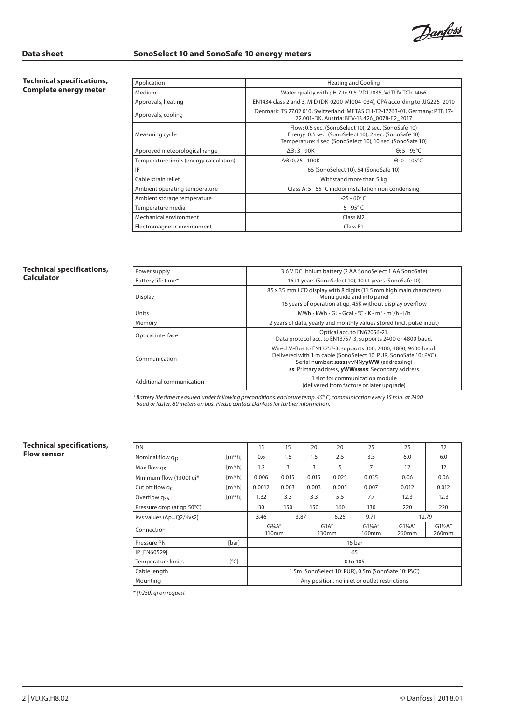Danfoss

**Technical specifications, Complete energy meter**

| Application                             |                                                                                                                           | <b>Heating and Cooling</b>                                                                                                                                                   |  |
|-----------------------------------------|---------------------------------------------------------------------------------------------------------------------------|------------------------------------------------------------------------------------------------------------------------------------------------------------------------------|--|
| Medium                                  |                                                                                                                           | Water quality with pH 7 to 9.5 VDI 2035, VdTÜV TCh 1466                                                                                                                      |  |
| Approvals, heating                      |                                                                                                                           | EN1434 class 2 and 3, MID (DK-0200-MI004-034), CPA according to JJG225-2010                                                                                                  |  |
| Approvals, cooling                      | Denmark: TS 27.02 010, Switzerland: METAS CH-T2-17763-01, Germany: PTB 17-<br>22.001-DK, Austria: BEV-13.426 0078-E2 2017 |                                                                                                                                                                              |  |
| Measuring cycle                         |                                                                                                                           | Flow: 0.5 sec. (SonoSelect 10), 2 sec. (SonoSafe 10)<br>Energy: 0.5 sec. (SonoSelect 10), 2 sec. (SonoSafe 10)<br>Temperature: 4 sec. (SonoSelect 10), 10 sec. (SonoSafe 10) |  |
| Approved meteorological range           | $\Delta\Theta$ : 3 - 90K                                                                                                  | $\Theta$ : 5 - 95°C                                                                                                                                                          |  |
| Temperature limits (energy calculation) | $\Delta\Theta$ : 0.25 - 100K                                                                                              | $\Theta$ : 0 - 105°C                                                                                                                                                         |  |
| IP                                      |                                                                                                                           | 65 (SonoSelect 10), 54 (SonoSafe 10)                                                                                                                                         |  |
| Cable strain relief                     |                                                                                                                           | Withstand more than 5 kg                                                                                                                                                     |  |
| Ambient operating temperature           |                                                                                                                           | Class A: 5 - 55° C indoor installation non condensing                                                                                                                        |  |
| Ambient storage temperature             |                                                                                                                           | $-25 - 60^{\circ}$ C                                                                                                                                                         |  |
| Temperature media                       |                                                                                                                           | $5 - 95^\circ C$                                                                                                                                                             |  |
| Mechanical environment                  |                                                                                                                           | Class M <sub>2</sub>                                                                                                                                                         |  |
| Electromagnetic environment             |                                                                                                                           | Class E1                                                                                                                                                                     |  |
|                                         |                                                                                                                           |                                                                                                                                                                              |  |

### **Technical specifications, Calculator**

| Power supply             | 3.6 V DC lithium battery (2 AA SonoSelect 1 AA SonoSafe)                                                                                                                                                                           |
|--------------------------|------------------------------------------------------------------------------------------------------------------------------------------------------------------------------------------------------------------------------------|
| Battery life time*       | 16+1 years (SonoSelect 10), 10+1 years (SonoSafe 10)                                                                                                                                                                               |
| Display                  | 85 x 35 mm LCD display with 8 digits (11.5 mm high main characters)<br>Menu quide and info panel<br>16 years of operation at qp, 45K without display overflow                                                                      |
| Units                    | MWh - kWh - GJ - Gcal - °C - K - m <sup>3</sup> - m <sup>3</sup> /h - l/h                                                                                                                                                          |
| Memory                   | 2 years of data, yearly and monthly values stored (incl. pulse input)                                                                                                                                                              |
| Optical interface        | Optical acc. to EN62056-21.<br>Data protocol acc. to EN13757-3, supports 2400 or 4800 baud.                                                                                                                                        |
| Communication            | Wired M-Bus to EN13757-3, supports 300, 2400, 4800, 9600 baud.<br>Delivered with 1 m cable (SonoSelect 10: PUR, SonoSafe 10: PVC)<br>Serial number: sssssvvNNyyWW (addressing)<br>ss: Primary address, yWWsssss: Secondary address |
| Additional communication | 1 slot for communication module<br>(delivered from factory or later upgrade)                                                                                                                                                       |

*\* Battery life time measured under following preconditions: enclosure temp. 45° C, communication every 15 min. at 2400 baud or faster, 80 meters on bus. Please contact Danfoss for further information.*

### **Technical specifications, Flow sensor**

| DN                                  |                              | 15                                                                                     | 15    | 20    | 20                          | 25                                            | 25    | 32    |
|-------------------------------------|------------------------------|----------------------------------------------------------------------------------------|-------|-------|-----------------------------|-----------------------------------------------|-------|-------|
| Nominal flow qp                     | $\left[\frac{m^3}{h}\right]$ | 0.6                                                                                    | 1.5   | 1.5   | 2.5                         | 3.5                                           | 6.0   | 6.0   |
| Max flow gs                         | $\left[\frac{m^3}{h}\right]$ | 1.2                                                                                    | 3     | 3     | 5                           | 7                                             | 12    | 12    |
| Minimum flow (1:100) gi*            | $\left[\frac{m^3}{h}\right]$ | 0.006                                                                                  | 0.015 | 0.015 | 0.025                       | 0.035                                         | 0.06  | 0.06  |
| Cut off flow $qc$                   | $\left[\frac{m^3}{h}\right]$ | 0.0012                                                                                 | 0.003 | 0.003 | 0.005                       | 0.007                                         | 0.012 | 0.012 |
| Overflow gss                        | $\left[\frac{m^3}{h}\right]$ | 1.32                                                                                   | 3.3   | 3.3   | 5.5                         | 7.7                                           | 12.3  | 12.3  |
| Pressure drop (at qp 50°C)          |                              | 30                                                                                     | 150   | 150   | 160                         | 130                                           | 220   | 220   |
| Kvs values ( $\Delta p = Q2/Kvs2$ ) |                              | 3.46                                                                                   |       | 3.87  | 6.25                        | 9.71                                          | 12.79 |       |
| Connection                          |                              | G <sup>3</sup> 4A''<br>G1A''<br>G1¼A"<br>$G1\%$ A"<br>110mm<br>130mm<br>160mm<br>260mm |       |       | $G1\frac{1}{2}A''$<br>260mm |                                               |       |       |
| Pressure PN                         | [bar]                        |                                                                                        |       |       |                             | 16 bar                                        |       |       |
| <b>IP [EN60529]</b>                 |                              | 65                                                                                     |       |       |                             |                                               |       |       |
| <b>Temperature limits</b>           | $[^{\circ}C]$                | 0 to 105                                                                               |       |       |                             |                                               |       |       |
| Cable length                        |                              | 1.5m (SonoSelect 10: PUR), 0.5m (SonoSafe 10: PVC)                                     |       |       |                             |                                               |       |       |
| Mounting                            |                              |                                                                                        |       |       |                             | Any position, no inlet or outlet restrictions |       |       |

*\* (1:250) qi on request*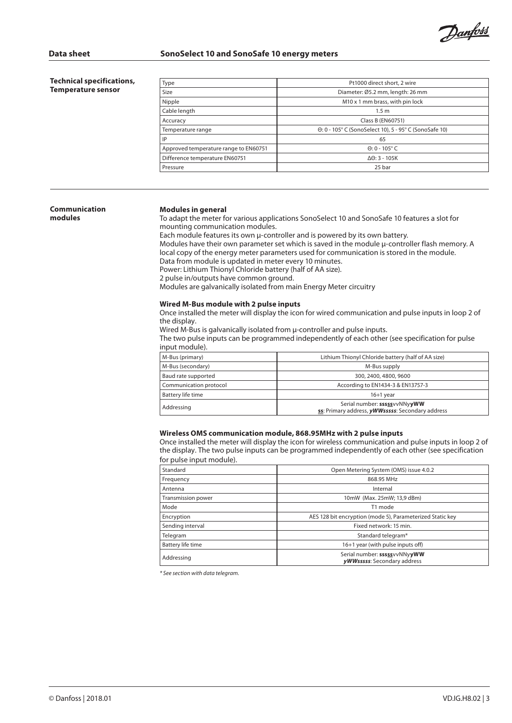Danfoss

**Technical specifications, Temperature sensor**

| Type                                  | Pt1000 direct short, 2 wire                            |
|---------------------------------------|--------------------------------------------------------|
| Size                                  | Diameter: Ø5.2 mm, length: 26 mm                       |
| Nipple                                | M10 x 1 mm brass, with pin lock                        |
| Cable length                          | 1.5 <sub>m</sub>                                       |
| Accuracy                              | Class B (EN60751)                                      |
| Temperature range                     | 0: 0 - 105° C (SonoSelect 10), 5 - 95° C (SonoSafe 10) |
| IP                                    | 65                                                     |
| Approved temperature range to EN60751 | $\Theta$ : 0 - 105° C                                  |
| Difference temperature EN60751        | $\Delta\Theta$ : 3 - 105K                              |
| Pressure                              | 25 bar                                                 |
|                                       |                                                        |

### **Communication modules**

### **Modules in general**

To adapt the meter for various applications SonoSelect 10 and SonoSafe 10 features a slot for mounting communication modules.

Each module features its own µ-controller and is powered by its own battery. Modules have their own parameter set which is saved in the module µ-controller flash memory. A local copy of the energy meter parameters used for communication is stored in the module. Data from module is updated in meter every 10 minutes. Power: Lithium Thionyl Chloride battery (half of AA size). 2 pulse in/outputs have common ground. Modules are galvanically isolated from main Energy Meter circuitry

### **Wired M-Bus module with 2 pulse inputs**

Once installed the meter will display the icon for wired communication and pulse inputs in loop 2 of the display.

Wired M-Bus is galvanically isolated from  $\mu$ -controller and pulse inputs.

The two pulse inputs can be programmed independently of each other (see specification for pulse input module).

| M-Bus (primary)        | Lithium Thionyl Chloride battery (half of AA size)                               |
|------------------------|----------------------------------------------------------------------------------|
| M-Bus (secondary)      | M-Bus supply                                                                     |
| Baud rate supported    | 300, 2400, 4800, 9600                                                            |
| Communication protocol | According to EN1434-3 & EN13757-3                                                |
| Battery life time      | $16+1$ vear                                                                      |
| Addressing             | Serial number: sssssvvNNyyWW<br>ss: Primary address, yWWsssss: Secondary address |

### **Wireless OMS communication module, 868.95MHz with 2 pulse inputs**

Once installed the meter will display the icon for wireless communication and pulse inputs in loop 2 of the display. The two pulse inputs can be programmed independently of each other (see specification for pulse input module).

| Standard           | Open Metering System (OMS) issue 4.0.2                      |
|--------------------|-------------------------------------------------------------|
| Frequency          | 868.95 MHz                                                  |
| Antenna            | Internal                                                    |
| Transmission power | 10mW (Max. 25mW; 13,9 dBm)                                  |
| Mode               | T1 mode                                                     |
| Encryption         | AES 128 bit encryption (mode 5), Parameterized Static key   |
| Sending interval   | Fixed network: 15 min.                                      |
| Telegram           | Standard telegram*                                          |
| Battery life time  | 16+1 year (with pulse inputs off)                           |
| Addressing         | Serial number: sssssvvNNyyWW<br>yWWsssss: Secondary address |

*\* See section with data telegram.*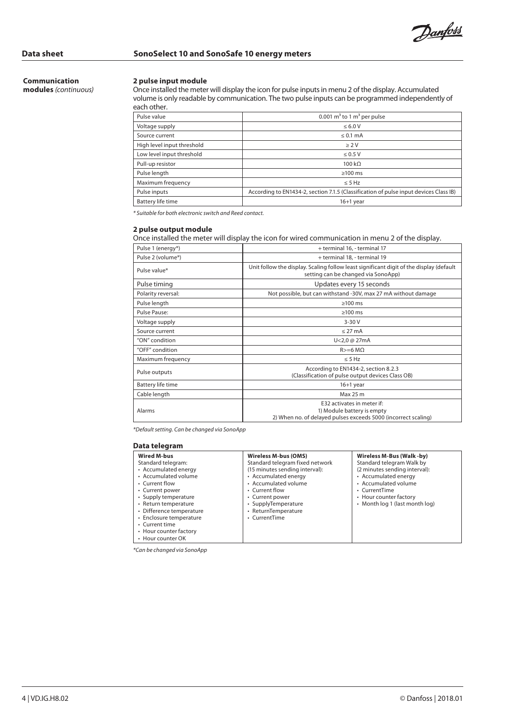Danfoss

# **Communication**

**modules** *(continuous)*

### **2 pulse input module**

Once installed the meter will display the icon for pulse inputs in menu 2 of the display. Accumulated volume is only readable by communication. The two pulse inputs can be programmed independently of each other.

| Pulse value                | 0.001 $m^3$ to 1 $m^3$ per pulse                                                      |
|----------------------------|---------------------------------------------------------------------------------------|
| Voltage supply             | $\leq 6.0 V$                                                                          |
| Source current             | $\leq 0.1$ mA                                                                         |
| High level input threshold | >2V                                                                                   |
| Low level input threshold  | $\leq 0.5$ V                                                                          |
| Pull-up resistor           | $100 k\Omega$                                                                         |
| Pulse length               | $\geq$ 100 ms                                                                         |
| Maximum frequency          | $\leq$ 5 Hz                                                                           |
| Pulse inputs               | According to EN1434-2, section 7.1.5 (Classification of pulse input devices Class IB) |
| Battery life time          | $16+1$ year                                                                           |

*\* Suitable for both electronic switch and Reed contact.*

### **2 pulse output module**

Once installed the meter will display the icon for wired communication in menu 2 of the display.

| Pulse 1 (energy*)  | + terminal 16, - terminal 17                                                                                                   |
|--------------------|--------------------------------------------------------------------------------------------------------------------------------|
| Pulse 2 (volume*)  | + terminal 18, - terminal 19                                                                                                   |
| Pulse value*       | Unit follow the display. Scaling follow least significant digit of the display (default<br>setting can be changed via SonoApp) |
| Pulse timing       | Updates every 15 seconds                                                                                                       |
| Polarity reversal: | Not possible, but can withstand -30V, max 27 mA without damage                                                                 |
| Pulse length       | $>100$ ms                                                                                                                      |
| Pulse Pause:       | $>100$ ms                                                                                                                      |
| Voltage supply     | $3 - 30V$                                                                                                                      |
| Source current     | $< 27 \text{ mA}$                                                                                                              |
| "ON" condition     | $U < 2.0$ @ 27mA                                                                                                               |
| "OFF" condition    | $R>=6 M\Omega$                                                                                                                 |
| Maximum frequency  | $\leq$ 5 Hz                                                                                                                    |
| Pulse outputs      | According to EN1434-2, section 8.2.3<br>(Classification of pulse output devices Class OB)                                      |
| Battery life time  | $16+1$ year                                                                                                                    |
| Cable length       | Max 25 m                                                                                                                       |
| Alarms             | E32 activates in meter if:<br>1) Module battery is empty<br>2) When no. of delayed pulses exceeds 5000 (incorrect scaling)     |

*\*Default setting. Can be changed via SonoApp*

| Wired M-bus                                                                              | <b>Wireless M-bus (OMS)</b>                                       | Wireless M-Bus (Walk-by)                                      |
|------------------------------------------------------------------------------------------|-------------------------------------------------------------------|---------------------------------------------------------------|
| Standard telegram:<br>• Accumulated energy                                               | Standard telegram fixed network<br>(15 minutes sending interval): | Standard telegram Walk by<br>(2 minutes sending interval):    |
| • Accumulated volume<br>• Current flow<br>• Current power                                | • Accumulated energy<br>• Accumulated volume<br>• Current flow    | • Accumulated energy<br>• Accumulated volume<br>• CurrentTime |
| • Supply temperature<br>• Return temperature<br>• Difference temperature                 | • Current power<br>• SupplyTemperature<br>• ReturnTemperature     | • Hour counter factory<br>• Month log 1 (last month log)      |
| • Enclosure temperature<br>• Current time<br>• Hour counter factory<br>• Hour counter OK | • CurrentTime                                                     |                                                               |

*\*Can be changed via SonoApp*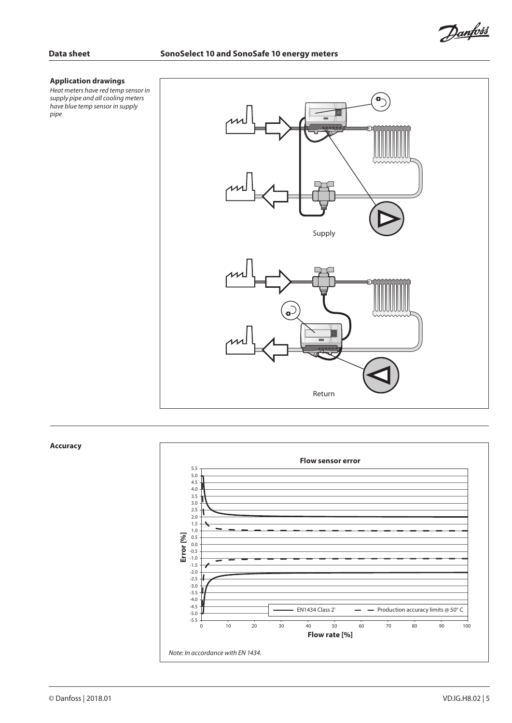Danfoss

### **Application drawings**

*Heat meters have red temp sensor in supply pipe and all cooling meters have blue temp sensor in supply pipe*



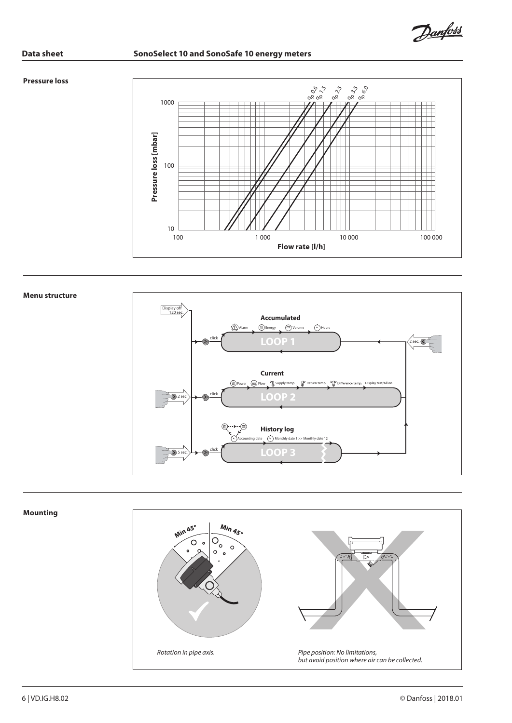Danfoss

### **Pressure loss**



### **Menu structure**



# **Mounting**  $\frac{M_{in}}{45}$ Min 45°  $\overline{O_0}$ စစ  $\circ$  $\Omega$  $\circ$  $\circ$ *Rotation in pipe axis. Pipe position: No limitations, but avoid position where air can be collected.*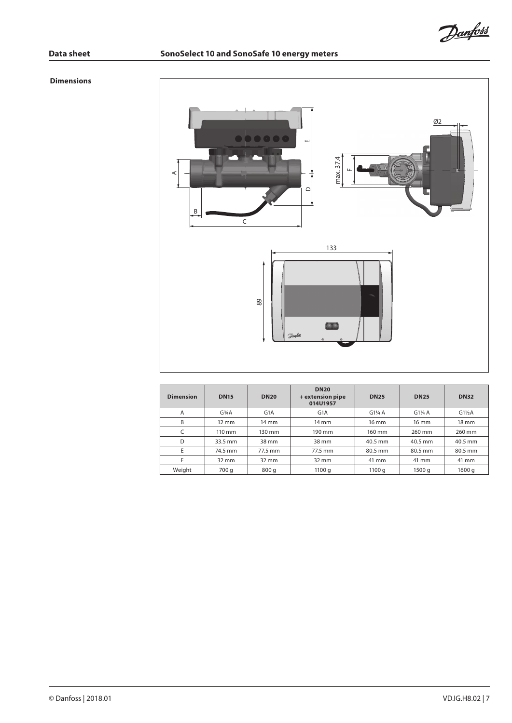Danfoss

### **Dimensions**



| <b>Dimension</b> | <b>DN15</b>                     | <b>DN20</b>      | <b>DN20</b><br>+ extension pipe<br>014U1957 | <b>DN25</b> | <b>DN25</b>     | <b>DN32</b>      |
|------------------|---------------------------------|------------------|---------------------------------------------|-------------|-----------------|------------------|
| A                | G <sup>3</sup> / <sub>4</sub> A | G <sub>1</sub> A | G <sub>1</sub> A                            | $G1\%$ A    | $G1\%$ A        | $G1\frac{1}{2}A$ |
| B                | $12 \text{ mm}$                 | $14 \text{ mm}$  | $14 \text{ mm}$                             | 16 mm       | $16 \text{ mm}$ | $18 \text{ mm}$  |
| C                | $110 \text{ mm}$                | 130 mm           | 190 mm                                      | 160 mm      | 260 mm          | 260 mm           |
| D                | 33.5 mm                         | 38 mm            | 38 mm                                       | 40.5 mm     | 40.5 mm         | 40.5 mm          |
| E                | 74.5 mm                         | 77.5 mm          | 77.5 mm                                     | 80.5 mm     | 80.5 mm         | 80.5 mm          |
| F                | $32 \text{ mm}$                 | $32 \text{ mm}$  | $32 \, \text{mm}$                           | 41 mm       | 41 mm           | 41 mm            |
| Weight           | 700 g                           | 800 g            | 1100q                                       | 1100q       | 1500 g          | 1600 g           |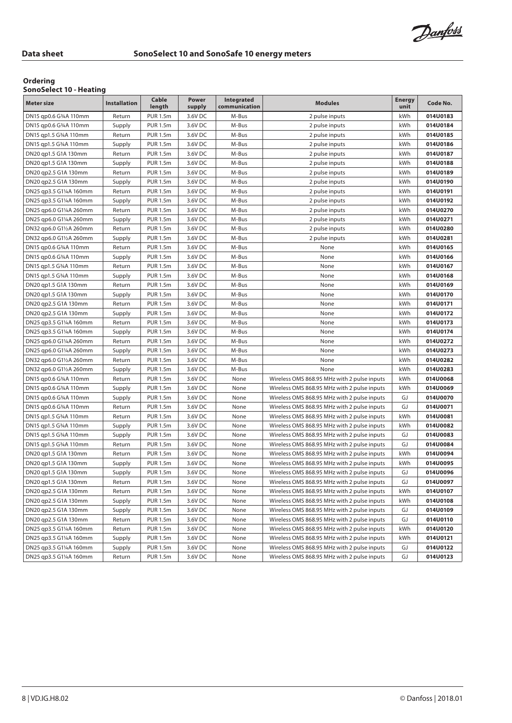### **Ordering**

### **SonoSelect 10 - Heating**

| <b>Meter size</b>       | <b>Installation</b> | Cable<br>length | Power<br>supply | Integrated<br>communication | <b>Modules</b>                              | <b>Energy</b><br>unit | Code No. |
|-------------------------|---------------------|-----------------|-----------------|-----------------------------|---------------------------------------------|-----------------------|----------|
| DN15 qp0.6 G34A 110mm   | Return              | <b>PUR 1.5m</b> | 3.6V DC         | M-Bus                       | 2 pulse inputs                              | kWh                   | 014U0183 |
| DN15 qp0.6 G34A 110mm   | Supply              | <b>PUR 1.5m</b> | 3.6V DC         | M-Bus                       | 2 pulse inputs                              | kWh                   | 014U0184 |
| DN15 qp1.5 G34A 110mm   | Return              | <b>PUR 1.5m</b> | 3.6V DC         | M-Bus                       | 2 pulse inputs                              | kWh                   | 014U0185 |
| DN15 qp1.5 G34A 110mm   | Supply              | <b>PUR 1.5m</b> | 3.6V DC         | M-Bus                       | 2 pulse inputs                              | kWh                   | 014U0186 |
| DN20 qp1.5 G1A 130mm    | Return              | <b>PUR 1.5m</b> | 3.6V DC         | M-Bus                       | 2 pulse inputs                              | kWh                   | 014U0187 |
| DN20 qp1.5 G1A 130mm    | Supply              | <b>PUR 1.5m</b> | 3.6V DC         | M-Bus                       | 2 pulse inputs                              | kWh                   | 014U0188 |
| DN20 qp2.5 G1A 130mm    | Return              | <b>PUR 1.5m</b> | 3.6V DC         | M-Bus                       | 2 pulse inputs                              | kWh                   | 014U0189 |
| DN20 gp2.5 G1A 130mm    | Supply              | <b>PUR 1.5m</b> | 3.6V DC         | M-Bus                       | 2 pulse inputs                              | kWh                   | 014U0190 |
| DN25 qp3.5 G1¼A 160mm   | Return              | <b>PUR 1.5m</b> | 3.6V DC         | M-Bus                       | 2 pulse inputs                              | kWh                   | 014U0191 |
| DN25 qp3.5 G1¼A 160mm   | Supply              | <b>PUR 1.5m</b> | 3.6V DC         | M-Bus                       | 2 pulse inputs                              | kWh                   | 014U0192 |
| DN25 qp6.0 G11/4A 260mm | Return              | <b>PUR 1.5m</b> | 3.6V DC         | M-Bus                       | 2 pulse inputs                              | kWh                   | 014U0270 |
| DN25 qp6.0 G11/4A 260mm | Supply              | <b>PUR 1.5m</b> | 3.6V DC         | M-Bus                       | 2 pulse inputs                              | kWh                   | 014U0271 |
| DN32 qp6.0 G11/2A 260mm | Return              | <b>PUR 1.5m</b> | 3.6V DC         | M-Bus                       | 2 pulse inputs                              | kWh                   | 014U0280 |
| DN32 qp6.0 G11/2A 260mm | Supply              | <b>PUR 1.5m</b> | 3.6V DC         | M-Bus                       | 2 pulse inputs                              | kWh                   | 014U0281 |
| DN15 qp0.6 G34A 110mm   | Return              | <b>PUR 1.5m</b> | 3.6V DC         | M-Bus                       | None                                        | kWh                   | 014U0165 |
| DN15 qp0.6 G34A 110mm   | Supply              | <b>PUR 1.5m</b> | 3.6V DC         | M-Bus                       | None                                        | kWh                   | 014U0166 |
| DN15 qp1.5 G34A 110mm   | Return              | <b>PUR 1.5m</b> | 3.6V DC         | M-Bus                       | None                                        | kWh                   | 014U0167 |
| DN15 qp1.5 G34A 110mm   | Supply              | <b>PUR 1.5m</b> | 3.6V DC         | M-Bus                       | None                                        | kWh                   | 014U0168 |
| DN20 gp1.5 G1A 130mm    | Return              | <b>PUR 1.5m</b> | 3.6V DC         | M-Bus                       | None                                        | kWh                   | 014U0169 |
| DN20 qp1.5 G1A 130mm    | Supply              | <b>PUR 1.5m</b> | 3.6V DC         | M-Bus                       | None                                        | kWh                   | 014U0170 |
| DN20 qp2.5 G1A 130mm    | Return              | <b>PUR 1.5m</b> | 3.6V DC         | M-Bus                       | None                                        | kWh                   | 014U0171 |
| DN20 qp2.5 G1A 130mm    | Supply              | <b>PUR 1.5m</b> | 3.6V DC         | M-Bus                       | None                                        | kWh                   | 014U0172 |
| DN25 qp3.5 G1¼A 160mm   | Return              | <b>PUR 1.5m</b> | 3.6V DC         | M-Bus                       | None                                        | kWh                   | 014U0173 |
| DN25 qp3.5 G1¼A 160mm   | Supply              | <b>PUR 1.5m</b> | 3.6V DC         | M-Bus                       | None                                        | kWh                   | 014U0174 |
| DN25 qp6.0 G11/4A 260mm | Return              | <b>PUR 1.5m</b> | 3.6V DC         | M-Bus                       | None                                        | kWh                   | 014U0272 |
| DN25 qp6.0 G1¼A 260mm   | Supply              | <b>PUR 1.5m</b> | 3.6V DC         | M-Bus                       | None                                        | kWh                   | 014U0273 |
| DN32 qp6.0 G11/2A 260mm | Return              | <b>PUR 1.5m</b> | 3.6V DC         | M-Bus                       | None                                        | kWh                   | 014U0282 |
| DN32 qp6.0 G11/2A 260mm | Supply              | <b>PUR 1.5m</b> | 3.6V DC         | M-Bus                       | None                                        | kWh                   | 014U0283 |
| DN15 qp0.6 G34A 110mm   | Return              | <b>PUR 1.5m</b> | 3.6V DC         | None                        | Wireless OMS 868.95 MHz with 2 pulse inputs | kWh                   | 014U0068 |
| DN15 qp0.6 G34A 110mm   | Supply              | <b>PUR 1.5m</b> | 3.6V DC         | None                        | Wireless OMS 868.95 MHz with 2 pulse inputs | kWh                   | 014U0069 |
| DN15 qp0.6 G34A 110mm   | Supply              | <b>PUR 1.5m</b> | 3.6V DC         | None                        | Wireless OMS 868.95 MHz with 2 pulse inputs | GJ                    | 014U0070 |
| DN15 qp0.6 G34A 110mm   | Return              | <b>PUR 1.5m</b> | 3.6V DC         | None                        | Wireless OMS 868.95 MHz with 2 pulse inputs | GJ                    | 014U0071 |
| DN15 qp1.5 G34A 110mm   | Return              | <b>PUR 1.5m</b> | 3.6V DC         | None                        | Wireless OMS 868.95 MHz with 2 pulse inputs | kWh                   | 014U0081 |
| DN15 qp1.5 G34A 110mm   | Supply              | <b>PUR 1.5m</b> | 3.6V DC         | None                        | Wireless OMS 868.95 MHz with 2 pulse inputs | kWh                   | 014U0082 |
| DN15 qp1.5 G34A 110mm   | Supply              | <b>PUR 1.5m</b> | 3.6V DC         | None                        | Wireless OMS 868.95 MHz with 2 pulse inputs | GJ                    | 014U0083 |
| DN15 qp1.5 G34A 110mm   | Return              | <b>PUR 1.5m</b> | 3.6V DC         | None                        | Wireless OMS 868.95 MHz with 2 pulse inputs | GJ                    | 014U0084 |
| DN20 qp1.5 G1A 130mm    | Return              | <b>PUR 1.5m</b> | 3.6V DC         | None                        | Wireless OMS 868.95 MHz with 2 pulse inputs | kWh                   | 014U0094 |
| DN20 qp1.5 G1A 130mm    | Supply              | <b>PUR 1.5m</b> | 3.6V DC         | None                        | Wireless OMS 868.95 MHz with 2 pulse inputs | kWh                   | 014U0095 |
| DN20 qp1.5 G1A 130mm    | Supply              | <b>PUR 1.5m</b> | 3.6V DC         | None                        | Wireless OMS 868.95 MHz with 2 pulse inputs | GJ                    | 014U0096 |
| DN20 qp1.5 G1A 130mm    | Return              | PUR 1.5m        | 3.6V DC         | None                        | Wireless OMS 868.95 MHz with 2 pulse inputs | GJ                    | 014U0097 |
| DN20 qp2.5 G1A 130mm    | Return              | <b>PUR 1.5m</b> | 3.6V DC         | None                        | Wireless OMS 868.95 MHz with 2 pulse inputs | kWh                   | 014U0107 |
| DN20 qp2.5 G1A 130mm    | Supply              | <b>PUR 1.5m</b> | 3.6V DC         | None                        | Wireless OMS 868.95 MHz with 2 pulse inputs | kWh                   | 014U0108 |
| DN20 qp2.5 G1A 130mm    | Supply              | <b>PUR 1.5m</b> | 3.6V DC         | None                        | Wireless OMS 868.95 MHz with 2 pulse inputs | GJ                    | 014U0109 |
| DN20 qp2.5 G1A 130mm    | Return              | <b>PUR 1.5m</b> | 3.6V DC         | None                        | Wireless OMS 868.95 MHz with 2 pulse inputs | GJ                    | 014U0110 |
| DN25 qp3.5 G1¼A 160mm   | Return              | <b>PUR 1.5m</b> | 3.6V DC         | None                        | Wireless OMS 868.95 MHz with 2 pulse inputs | kWh                   | 014U0120 |
| DN25 qp3.5 G11/4A 160mm | Supply              | <b>PUR 1.5m</b> | 3.6V DC         | None                        | Wireless OMS 868.95 MHz with 2 pulse inputs | kWh                   | 014U0121 |
| DN25 qp3.5 G11/4A 160mm | Supply              | <b>PUR 1.5m</b> | 3.6V DC         | None                        | Wireless OMS 868.95 MHz with 2 pulse inputs | GJ                    | 014U0122 |
| DN25 qp3.5 G11/4A 160mm | Return              | <b>PUR 1.5m</b> | 3.6V DC         | None                        | Wireless OMS 868.95 MHz with 2 pulse inputs | GJ                    | 014U0123 |
|                         |                     |                 |                 |                             |                                             |                       |          |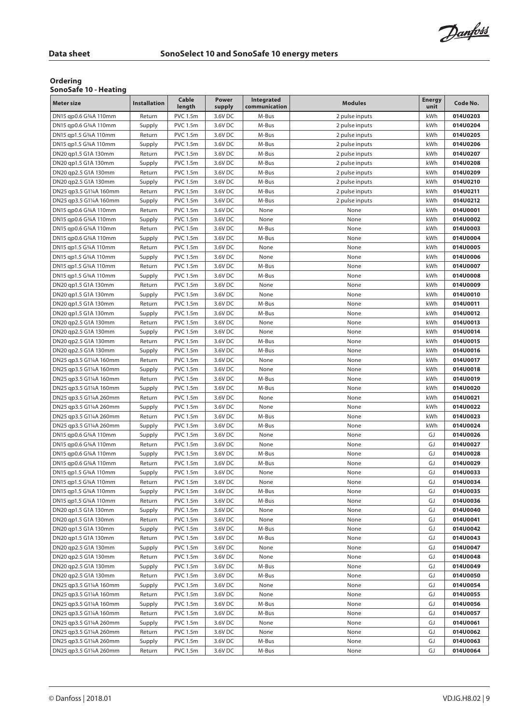т

Danfoss

٦

### **Ordering**

### **SonoSafe 10 - Heating**

| <b>PVC 1.5m</b><br>014U0203<br>DN15 qp0.6 G34A 110mm<br>Return<br>3.6V DC<br>M-Bus<br>kWh<br>2 pulse inputs<br><b>PVC 1.5m</b><br>kWh<br>014U0204<br>DN15 qp0.6 G34A 110mm<br>Supply<br>3.6V DC<br>M-Bus<br>2 pulse inputs<br>DN15 qp1.5 G34A 110mm<br>Return<br><b>PVC 1.5m</b><br>3.6V DC<br>M-Bus<br>kWh<br>014U0205<br>2 pulse inputs<br>014U0206<br><b>PVC 1.5m</b><br>3.6V DC<br>M-Bus<br>kWh<br>DN15 qp1.5 G34A 110mm<br>Supply<br>2 pulse inputs<br><b>PVC 1.5m</b><br>3.6V DC<br>M-Bus<br>kWh<br>014U0207<br>DN20 qp1.5 G1A 130mm<br>Return<br>2 pulse inputs<br>DN20 qp1.5 G1A 130mm<br>Supply<br><b>PVC 1.5m</b><br>3.6V DC<br>M-Bus<br>kWh<br>014U0208<br>2 pulse inputs<br><b>PVC 1.5m</b><br>014U0209<br>DN20 qp2.5 G1A 130mm<br>Return<br>3.6V DC<br>M-Bus<br>kWh<br>2 pulse inputs<br>DN20 qp2.5 G1A 130mm<br><b>PVC 1.5m</b><br>3.6V DC<br>M-Bus<br>kWh<br>014U0210<br>Supply<br>2 pulse inputs<br>DN25 qp3.5 G1¼A 160mm<br>Return<br><b>PVC 1.5m</b><br>3.6V DC<br>M-Bus<br>kWh<br>014U0211<br>2 pulse inputs<br>kWh<br>014U0212<br>DN25 qp3.5 G11/4A 160mm<br>Supply<br><b>PVC 1.5m</b><br>3.6V DC<br>M-Bus<br>2 pulse inputs<br><b>PVC 1.5m</b><br>kWh<br>014U0001<br>DN15 qp0.6 G34A 110mm<br>Return<br>3.6V DC<br>None<br>None<br>DN15 qp0.6 G34A 110mm<br><b>PVC 1.5m</b><br>3.6V DC<br>kWh<br>014U0002<br>Supply<br>None<br>None<br>kWh<br>DN15 qp0.6 G34A 110mm<br>Return<br><b>PVC 1.5m</b><br>3.6V DC<br>M-Bus<br>None<br>014U0003<br>DN15 qp0.6 G34A 110mm<br>Supply<br><b>PVC 1.5m</b><br>3.6V DC<br>M-Bus<br>None<br>kWh<br>014U0004<br><b>PVC 1.5m</b><br>3.6V DC<br>None<br>kWh<br>014U0005<br>DN15 qp1.5 G34A 110mm<br>Return<br>None<br>kWh<br>DN15 qp1.5 G34A 110mm<br>Supply<br><b>PVC 1.5m</b><br>3.6V DC<br>None<br>None<br>014U0006<br>DN15 qp1.5 G34A 110mm<br>Return<br><b>PVC 1.5m</b><br>3.6V DC<br>M-Bus<br>None<br>kWh<br>014U0007<br><b>PVC 1.5m</b><br>3.6V DC<br>014U0008<br>DN15 qp1.5 G34A 110mm<br>M-Bus<br>None<br>kWh<br>Supply<br>DN20 qp1.5 G1A 130mm<br><b>PVC 1.5m</b><br>3.6V DC<br>None<br>kWh<br>014U0009<br>Return<br>None<br>DN20 qp1.5 G1A 130mm<br><b>PVC 1.5m</b><br>3.6V DC<br>None<br>None<br>kWh<br>014U0010<br>Supply<br><b>PVC 1.5m</b><br>kWh<br>DN20 qp1.5 G1A 130mm<br>Return<br>3.6V DC<br>M-Bus<br>None<br>014U0011<br>kWh<br><b>PVC 1.5m</b><br>3.6V DC<br>M-Bus<br>None<br>014U0012<br>DN20 qp1.5 G1A 130mm<br>Supply<br>DN20 qp2.5 G1A 130mm<br>Return<br><b>PVC 1.5m</b><br>3.6V DC<br>None<br>kWh<br>014U0013<br>None<br><b>PVC 1.5m</b><br>3.6V DC<br>014U0014<br>DN20 qp2.5 G1A 130mm<br>Supply<br>None<br>None<br>kWh<br><b>PVC 1.5m</b><br>kWh<br>DN20 qp2.5 G1A 130mm<br>Return<br>3.6V DC<br>M-Bus<br>None<br>014U0015<br><b>PVC 1.5m</b><br>3.6V DC<br>M-Bus<br>kWh<br>DN20 qp2.5 G1A 130mm<br>Supply<br>None<br>014U0016<br>kWh<br>DN25 qp3.5 G1¼A 160mm<br>Return<br><b>PVC 1.5m</b><br>3.6V DC<br>None<br>None<br>014U0017<br>DN25 qp3.5 G1¼A 160mm<br>Supply<br><b>PVC 1.5m</b><br>3.6V DC<br>None<br>None<br>kWh<br>014U0018<br><b>PVC 1.5m</b><br>3.6V DC<br>014U0019<br>DN25 qp3.5 G11/4A 160mm<br>Return<br>M-Bus<br>None<br>kWh<br>DN25 qp3.5 G1¼A 160mm<br><b>PVC 1.5m</b><br>3.6V DC<br>M-Bus<br>None<br>kWh<br>014U0020<br>Supply<br>DN25 qp3.5 G11/4A 260mm<br>Return<br><b>PVC 1.5m</b><br>3.6V DC<br>None<br>None<br>kWh<br>014U0021<br><b>PVC 1.5m</b><br>3.6V DC<br>kWh<br>014U0022<br>DN25 qp3.5 G1¼A 260mm<br>Supply<br>None<br>None<br><b>PVC 1.5m</b><br>3.6V DC<br>M-Bus<br>None<br>kWh<br>014U0023<br>DN25 qp3.5 G1¼A 260mm<br>Return<br>DN25 qp3.5 G11/4A 260mm<br><b>PVC 1.5m</b><br>3.6V DC<br>M-Bus<br>None<br>kWh<br>014U0024<br>Supply<br><b>PVC 1.5m</b><br>GJ<br>014U0026<br>DN15 qp0.6 G34A 110mm<br>Supply<br>3.6V DC<br>None<br>None<br>GJ<br>DN15 qp0.6 G34A 110mm<br>Return<br><b>PVC 1.5m</b><br>3.6V DC<br>None<br>None<br>014U0027<br>GJ<br><b>PVC 1.5m</b><br>3.6V DC<br>M-Bus<br>None<br>014U0028<br>DN15 qp0.6 G34A 110mm<br>Supply<br>GJ<br>DN15 qp0.6 G34A 110mm<br>Return<br><b>PVC 1.5m</b><br>3.6V DC<br>M-Bus<br>None<br>014U0029<br><b>PVC 1.5m</b><br>GJ<br>014U0033<br>DN15 qp1.5 G34A 110mm<br>3.6V DC<br>None<br>None<br>Supply<br><b>PVC 1.5m</b><br>3.6V DC<br>GJ<br>014U0034<br>DN15 qp1.5 G34A 110mm<br>Return<br>None<br>None<br>DN15 qp1.5 G34A 110mm<br><b>PVC 1.5m</b><br>3.6V DC<br>M-Bus<br>GJ<br>014U0035<br>Supply<br>None<br>DN15 qp1.5 G34A 110mm<br>Return<br><b>PVC 1.5m</b><br>3.6V DC<br>M-Bus<br>None<br>GJ<br>014U0036<br><b>PVC 1.5m</b><br>3.6V DC<br>GJ<br>014U0040<br>DN20 qp1.5 G1A 130mm<br>Supply<br>None<br>None<br>DN20 qp1.5 G1A 130mm<br><b>PVC 1.5m</b><br>3.6V DC<br>GJ<br>014U0041<br>Return<br>None<br>None<br>GJ<br>DN20 qp1.5 G1A 130mm<br>Supply<br><b>PVC 1.5m</b><br>3.6V DC<br>M-Bus<br>None<br>014U0042<br><b>PVC 1.5m</b><br>3.6V DC<br>GJ<br>014U0043<br>DN20 qp1.5 G1A 130mm<br>Return<br>M-Bus<br>None<br>014U0047<br>DN20 qp2.5 G1A 130mm<br>Supply<br><b>PVC 1.5m</b><br>3.6V DC<br>GJ<br>None<br>None<br>GJ<br>DN20 qp2.5 G1A 130mm<br>Return<br><b>PVC 1.5m</b><br>3.6V DC<br>014U0048<br>None<br>None<br>GJ<br>014U0049<br>DN20 qp2.5 G1A 130mm<br><b>PVC 1.5m</b><br>3.6V DC<br>M-Bus<br>Supply<br>None<br><b>PVC 1.5m</b><br>014U0050<br>DN20 qp2.5 G1A 130mm<br>Return<br>3.6V DC<br>M-Bus<br>GJ<br>None<br>014U0054<br>DN25 qp3.5 G1¼A 160mm<br><b>PVC 1.5m</b><br>3.6V DC<br>GJ<br>Supply<br>None<br>None<br>GJ<br>DN25 qp3.5 G11/4A 160mm<br>Return<br><b>PVC 1.5m</b><br>3.6V DC<br>None<br>None<br>014U0055<br>DN25 qp3.5 G1¼A 160mm<br>Supply<br><b>PVC 1.5m</b><br>3.6V DC<br>M-Bus<br>None<br>GJ<br>014U0056<br>DN25 qp3.5 G1¼A 160mm<br><b>PVC 1.5m</b><br>3.6V DC<br>GJ<br>014U0057<br>Return<br>M-Bus<br>None<br>3.6V DC<br>GJ<br>DN25 qp3.5 G11/4A 260mm<br>Supply<br><b>PVC 1.5m</b><br>None<br>None<br>014U0061<br>DN25 qp3.5 G11/4A 260mm<br>Return<br><b>PVC 1.5m</b><br>3.6V DC<br>None<br>GJ<br>014U0062<br>None<br>DN25 qp3.5 G11/4A 260mm<br><b>PVC 1.5m</b><br>3.6V DC<br>M-Bus<br>GJ<br>014U0063<br>Supply<br>None<br>3.6V DC<br>014U0064<br>DN25 qp3.5 G11/4A 260mm<br><b>PVC 1.5m</b><br>M-Bus<br>None<br>GJ<br>Return | <b>Meter size</b> | <b>Installation</b> | Cable<br>length | Power<br>supply | Integrated<br>communication | <b>Modules</b> | Energy<br>unit | Code No. |
|--------------------------------------------------------------------------------------------------------------------------------------------------------------------------------------------------------------------------------------------------------------------------------------------------------------------------------------------------------------------------------------------------------------------------------------------------------------------------------------------------------------------------------------------------------------------------------------------------------------------------------------------------------------------------------------------------------------------------------------------------------------------------------------------------------------------------------------------------------------------------------------------------------------------------------------------------------------------------------------------------------------------------------------------------------------------------------------------------------------------------------------------------------------------------------------------------------------------------------------------------------------------------------------------------------------------------------------------------------------------------------------------------------------------------------------------------------------------------------------------------------------------------------------------------------------------------------------------------------------------------------------------------------------------------------------------------------------------------------------------------------------------------------------------------------------------------------------------------------------------------------------------------------------------------------------------------------------------------------------------------------------------------------------------------------------------------------------------------------------------------------------------------------------------------------------------------------------------------------------------------------------------------------------------------------------------------------------------------------------------------------------------------------------------------------------------------------------------------------------------------------------------------------------------------------------------------------------------------------------------------------------------------------------------------------------------------------------------------------------------------------------------------------------------------------------------------------------------------------------------------------------------------------------------------------------------------------------------------------------------------------------------------------------------------------------------------------------------------------------------------------------------------------------------------------------------------------------------------------------------------------------------------------------------------------------------------------------------------------------------------------------------------------------------------------------------------------------------------------------------------------------------------------------------------------------------------------------------------------------------------------------------------------------------------------------------------------------------------------------------------------------------------------------------------------------------------------------------------------------------------------------------------------------------------------------------------------------------------------------------------------------------------------------------------------------------------------------------------------------------------------------------------------------------------------------------------------------------------------------------------------------------------------------------------------------------------------------------------------------------------------------------------------------------------------------------------------------------------------------------------------------------------------------------------------------------------------------------------------------------------------------------------------------------------------------------------------------------------------------------------------------------------------------------------------------------------------------------------------------------------------------------------------------------------------------------------------------------------------------------------------------------------------------------------------------------------------------------------------------------------------------------------------------------------------------------------------------------------------------------------------------------------------------------------------------------------------------------------------------------------------------------------------------------------------------------------------------------------------------------------------------------------------------------------------------------------------------------------------------------------------------------------------------------------------------------------------------------------------------------------------------------------------------------------------------------------------------------------------------------------------------------------------------------------------------------------------------------------------------------------------------------------------------------------------------------------------------------------------------------------------------------------|-------------------|---------------------|-----------------|-----------------|-----------------------------|----------------|----------------|----------|
|                                                                                                                                                                                                                                                                                                                                                                                                                                                                                                                                                                                                                                                                                                                                                                                                                                                                                                                                                                                                                                                                                                                                                                                                                                                                                                                                                                                                                                                                                                                                                                                                                                                                                                                                                                                                                                                                                                                                                                                                                                                                                                                                                                                                                                                                                                                                                                                                                                                                                                                                                                                                                                                                                                                                                                                                                                                                                                                                                                                                                                                                                                                                                                                                                                                                                                                                                                                                                                                                                                                                                                                                                                                                                                                                                                                                                                                                                                                                                                                                                                                                                                                                                                                                                                                                                                                                                                                                                                                                                                                                                                                                                                                                                                                                                                                                                                                                                                                                                                                                                                                                                                                                                                                                                                                                                                                                                                                                                                                                                                                                                                                                                                                                                                                                                                                                                                                                                                                                                                                                                                                                                                                                                  |                   |                     |                 |                 |                             |                |                |          |
|                                                                                                                                                                                                                                                                                                                                                                                                                                                                                                                                                                                                                                                                                                                                                                                                                                                                                                                                                                                                                                                                                                                                                                                                                                                                                                                                                                                                                                                                                                                                                                                                                                                                                                                                                                                                                                                                                                                                                                                                                                                                                                                                                                                                                                                                                                                                                                                                                                                                                                                                                                                                                                                                                                                                                                                                                                                                                                                                                                                                                                                                                                                                                                                                                                                                                                                                                                                                                                                                                                                                                                                                                                                                                                                                                                                                                                                                                                                                                                                                                                                                                                                                                                                                                                                                                                                                                                                                                                                                                                                                                                                                                                                                                                                                                                                                                                                                                                                                                                                                                                                                                                                                                                                                                                                                                                                                                                                                                                                                                                                                                                                                                                                                                                                                                                                                                                                                                                                                                                                                                                                                                                                                                  |                   |                     |                 |                 |                             |                |                |          |
|                                                                                                                                                                                                                                                                                                                                                                                                                                                                                                                                                                                                                                                                                                                                                                                                                                                                                                                                                                                                                                                                                                                                                                                                                                                                                                                                                                                                                                                                                                                                                                                                                                                                                                                                                                                                                                                                                                                                                                                                                                                                                                                                                                                                                                                                                                                                                                                                                                                                                                                                                                                                                                                                                                                                                                                                                                                                                                                                                                                                                                                                                                                                                                                                                                                                                                                                                                                                                                                                                                                                                                                                                                                                                                                                                                                                                                                                                                                                                                                                                                                                                                                                                                                                                                                                                                                                                                                                                                                                                                                                                                                                                                                                                                                                                                                                                                                                                                                                                                                                                                                                                                                                                                                                                                                                                                                                                                                                                                                                                                                                                                                                                                                                                                                                                                                                                                                                                                                                                                                                                                                                                                                                                  |                   |                     |                 |                 |                             |                |                |          |
|                                                                                                                                                                                                                                                                                                                                                                                                                                                                                                                                                                                                                                                                                                                                                                                                                                                                                                                                                                                                                                                                                                                                                                                                                                                                                                                                                                                                                                                                                                                                                                                                                                                                                                                                                                                                                                                                                                                                                                                                                                                                                                                                                                                                                                                                                                                                                                                                                                                                                                                                                                                                                                                                                                                                                                                                                                                                                                                                                                                                                                                                                                                                                                                                                                                                                                                                                                                                                                                                                                                                                                                                                                                                                                                                                                                                                                                                                                                                                                                                                                                                                                                                                                                                                                                                                                                                                                                                                                                                                                                                                                                                                                                                                                                                                                                                                                                                                                                                                                                                                                                                                                                                                                                                                                                                                                                                                                                                                                                                                                                                                                                                                                                                                                                                                                                                                                                                                                                                                                                                                                                                                                                                                  |                   |                     |                 |                 |                             |                |                |          |
|                                                                                                                                                                                                                                                                                                                                                                                                                                                                                                                                                                                                                                                                                                                                                                                                                                                                                                                                                                                                                                                                                                                                                                                                                                                                                                                                                                                                                                                                                                                                                                                                                                                                                                                                                                                                                                                                                                                                                                                                                                                                                                                                                                                                                                                                                                                                                                                                                                                                                                                                                                                                                                                                                                                                                                                                                                                                                                                                                                                                                                                                                                                                                                                                                                                                                                                                                                                                                                                                                                                                                                                                                                                                                                                                                                                                                                                                                                                                                                                                                                                                                                                                                                                                                                                                                                                                                                                                                                                                                                                                                                                                                                                                                                                                                                                                                                                                                                                                                                                                                                                                                                                                                                                                                                                                                                                                                                                                                                                                                                                                                                                                                                                                                                                                                                                                                                                                                                                                                                                                                                                                                                                                                  |                   |                     |                 |                 |                             |                |                |          |
|                                                                                                                                                                                                                                                                                                                                                                                                                                                                                                                                                                                                                                                                                                                                                                                                                                                                                                                                                                                                                                                                                                                                                                                                                                                                                                                                                                                                                                                                                                                                                                                                                                                                                                                                                                                                                                                                                                                                                                                                                                                                                                                                                                                                                                                                                                                                                                                                                                                                                                                                                                                                                                                                                                                                                                                                                                                                                                                                                                                                                                                                                                                                                                                                                                                                                                                                                                                                                                                                                                                                                                                                                                                                                                                                                                                                                                                                                                                                                                                                                                                                                                                                                                                                                                                                                                                                                                                                                                                                                                                                                                                                                                                                                                                                                                                                                                                                                                                                                                                                                                                                                                                                                                                                                                                                                                                                                                                                                                                                                                                                                                                                                                                                                                                                                                                                                                                                                                                                                                                                                                                                                                                                                  |                   |                     |                 |                 |                             |                |                |          |
|                                                                                                                                                                                                                                                                                                                                                                                                                                                                                                                                                                                                                                                                                                                                                                                                                                                                                                                                                                                                                                                                                                                                                                                                                                                                                                                                                                                                                                                                                                                                                                                                                                                                                                                                                                                                                                                                                                                                                                                                                                                                                                                                                                                                                                                                                                                                                                                                                                                                                                                                                                                                                                                                                                                                                                                                                                                                                                                                                                                                                                                                                                                                                                                                                                                                                                                                                                                                                                                                                                                                                                                                                                                                                                                                                                                                                                                                                                                                                                                                                                                                                                                                                                                                                                                                                                                                                                                                                                                                                                                                                                                                                                                                                                                                                                                                                                                                                                                                                                                                                                                                                                                                                                                                                                                                                                                                                                                                                                                                                                                                                                                                                                                                                                                                                                                                                                                                                                                                                                                                                                                                                                                                                  |                   |                     |                 |                 |                             |                |                |          |
|                                                                                                                                                                                                                                                                                                                                                                                                                                                                                                                                                                                                                                                                                                                                                                                                                                                                                                                                                                                                                                                                                                                                                                                                                                                                                                                                                                                                                                                                                                                                                                                                                                                                                                                                                                                                                                                                                                                                                                                                                                                                                                                                                                                                                                                                                                                                                                                                                                                                                                                                                                                                                                                                                                                                                                                                                                                                                                                                                                                                                                                                                                                                                                                                                                                                                                                                                                                                                                                                                                                                                                                                                                                                                                                                                                                                                                                                                                                                                                                                                                                                                                                                                                                                                                                                                                                                                                                                                                                                                                                                                                                                                                                                                                                                                                                                                                                                                                                                                                                                                                                                                                                                                                                                                                                                                                                                                                                                                                                                                                                                                                                                                                                                                                                                                                                                                                                                                                                                                                                                                                                                                                                                                  |                   |                     |                 |                 |                             |                |                |          |
|                                                                                                                                                                                                                                                                                                                                                                                                                                                                                                                                                                                                                                                                                                                                                                                                                                                                                                                                                                                                                                                                                                                                                                                                                                                                                                                                                                                                                                                                                                                                                                                                                                                                                                                                                                                                                                                                                                                                                                                                                                                                                                                                                                                                                                                                                                                                                                                                                                                                                                                                                                                                                                                                                                                                                                                                                                                                                                                                                                                                                                                                                                                                                                                                                                                                                                                                                                                                                                                                                                                                                                                                                                                                                                                                                                                                                                                                                                                                                                                                                                                                                                                                                                                                                                                                                                                                                                                                                                                                                                                                                                                                                                                                                                                                                                                                                                                                                                                                                                                                                                                                                                                                                                                                                                                                                                                                                                                                                                                                                                                                                                                                                                                                                                                                                                                                                                                                                                                                                                                                                                                                                                                                                  |                   |                     |                 |                 |                             |                |                |          |
|                                                                                                                                                                                                                                                                                                                                                                                                                                                                                                                                                                                                                                                                                                                                                                                                                                                                                                                                                                                                                                                                                                                                                                                                                                                                                                                                                                                                                                                                                                                                                                                                                                                                                                                                                                                                                                                                                                                                                                                                                                                                                                                                                                                                                                                                                                                                                                                                                                                                                                                                                                                                                                                                                                                                                                                                                                                                                                                                                                                                                                                                                                                                                                                                                                                                                                                                                                                                                                                                                                                                                                                                                                                                                                                                                                                                                                                                                                                                                                                                                                                                                                                                                                                                                                                                                                                                                                                                                                                                                                                                                                                                                                                                                                                                                                                                                                                                                                                                                                                                                                                                                                                                                                                                                                                                                                                                                                                                                                                                                                                                                                                                                                                                                                                                                                                                                                                                                                                                                                                                                                                                                                                                                  |                   |                     |                 |                 |                             |                |                |          |
|                                                                                                                                                                                                                                                                                                                                                                                                                                                                                                                                                                                                                                                                                                                                                                                                                                                                                                                                                                                                                                                                                                                                                                                                                                                                                                                                                                                                                                                                                                                                                                                                                                                                                                                                                                                                                                                                                                                                                                                                                                                                                                                                                                                                                                                                                                                                                                                                                                                                                                                                                                                                                                                                                                                                                                                                                                                                                                                                                                                                                                                                                                                                                                                                                                                                                                                                                                                                                                                                                                                                                                                                                                                                                                                                                                                                                                                                                                                                                                                                                                                                                                                                                                                                                                                                                                                                                                                                                                                                                                                                                                                                                                                                                                                                                                                                                                                                                                                                                                                                                                                                                                                                                                                                                                                                                                                                                                                                                                                                                                                                                                                                                                                                                                                                                                                                                                                                                                                                                                                                                                                                                                                                                  |                   |                     |                 |                 |                             |                |                |          |
|                                                                                                                                                                                                                                                                                                                                                                                                                                                                                                                                                                                                                                                                                                                                                                                                                                                                                                                                                                                                                                                                                                                                                                                                                                                                                                                                                                                                                                                                                                                                                                                                                                                                                                                                                                                                                                                                                                                                                                                                                                                                                                                                                                                                                                                                                                                                                                                                                                                                                                                                                                                                                                                                                                                                                                                                                                                                                                                                                                                                                                                                                                                                                                                                                                                                                                                                                                                                                                                                                                                                                                                                                                                                                                                                                                                                                                                                                                                                                                                                                                                                                                                                                                                                                                                                                                                                                                                                                                                                                                                                                                                                                                                                                                                                                                                                                                                                                                                                                                                                                                                                                                                                                                                                                                                                                                                                                                                                                                                                                                                                                                                                                                                                                                                                                                                                                                                                                                                                                                                                                                                                                                                                                  |                   |                     |                 |                 |                             |                |                |          |
|                                                                                                                                                                                                                                                                                                                                                                                                                                                                                                                                                                                                                                                                                                                                                                                                                                                                                                                                                                                                                                                                                                                                                                                                                                                                                                                                                                                                                                                                                                                                                                                                                                                                                                                                                                                                                                                                                                                                                                                                                                                                                                                                                                                                                                                                                                                                                                                                                                                                                                                                                                                                                                                                                                                                                                                                                                                                                                                                                                                                                                                                                                                                                                                                                                                                                                                                                                                                                                                                                                                                                                                                                                                                                                                                                                                                                                                                                                                                                                                                                                                                                                                                                                                                                                                                                                                                                                                                                                                                                                                                                                                                                                                                                                                                                                                                                                                                                                                                                                                                                                                                                                                                                                                                                                                                                                                                                                                                                                                                                                                                                                                                                                                                                                                                                                                                                                                                                                                                                                                                                                                                                                                                                  |                   |                     |                 |                 |                             |                |                |          |
|                                                                                                                                                                                                                                                                                                                                                                                                                                                                                                                                                                                                                                                                                                                                                                                                                                                                                                                                                                                                                                                                                                                                                                                                                                                                                                                                                                                                                                                                                                                                                                                                                                                                                                                                                                                                                                                                                                                                                                                                                                                                                                                                                                                                                                                                                                                                                                                                                                                                                                                                                                                                                                                                                                                                                                                                                                                                                                                                                                                                                                                                                                                                                                                                                                                                                                                                                                                                                                                                                                                                                                                                                                                                                                                                                                                                                                                                                                                                                                                                                                                                                                                                                                                                                                                                                                                                                                                                                                                                                                                                                                                                                                                                                                                                                                                                                                                                                                                                                                                                                                                                                                                                                                                                                                                                                                                                                                                                                                                                                                                                                                                                                                                                                                                                                                                                                                                                                                                                                                                                                                                                                                                                                  |                   |                     |                 |                 |                             |                |                |          |
|                                                                                                                                                                                                                                                                                                                                                                                                                                                                                                                                                                                                                                                                                                                                                                                                                                                                                                                                                                                                                                                                                                                                                                                                                                                                                                                                                                                                                                                                                                                                                                                                                                                                                                                                                                                                                                                                                                                                                                                                                                                                                                                                                                                                                                                                                                                                                                                                                                                                                                                                                                                                                                                                                                                                                                                                                                                                                                                                                                                                                                                                                                                                                                                                                                                                                                                                                                                                                                                                                                                                                                                                                                                                                                                                                                                                                                                                                                                                                                                                                                                                                                                                                                                                                                                                                                                                                                                                                                                                                                                                                                                                                                                                                                                                                                                                                                                                                                                                                                                                                                                                                                                                                                                                                                                                                                                                                                                                                                                                                                                                                                                                                                                                                                                                                                                                                                                                                                                                                                                                                                                                                                                                                  |                   |                     |                 |                 |                             |                |                |          |
|                                                                                                                                                                                                                                                                                                                                                                                                                                                                                                                                                                                                                                                                                                                                                                                                                                                                                                                                                                                                                                                                                                                                                                                                                                                                                                                                                                                                                                                                                                                                                                                                                                                                                                                                                                                                                                                                                                                                                                                                                                                                                                                                                                                                                                                                                                                                                                                                                                                                                                                                                                                                                                                                                                                                                                                                                                                                                                                                                                                                                                                                                                                                                                                                                                                                                                                                                                                                                                                                                                                                                                                                                                                                                                                                                                                                                                                                                                                                                                                                                                                                                                                                                                                                                                                                                                                                                                                                                                                                                                                                                                                                                                                                                                                                                                                                                                                                                                                                                                                                                                                                                                                                                                                                                                                                                                                                                                                                                                                                                                                                                                                                                                                                                                                                                                                                                                                                                                                                                                                                                                                                                                                                                  |                   |                     |                 |                 |                             |                |                |          |
|                                                                                                                                                                                                                                                                                                                                                                                                                                                                                                                                                                                                                                                                                                                                                                                                                                                                                                                                                                                                                                                                                                                                                                                                                                                                                                                                                                                                                                                                                                                                                                                                                                                                                                                                                                                                                                                                                                                                                                                                                                                                                                                                                                                                                                                                                                                                                                                                                                                                                                                                                                                                                                                                                                                                                                                                                                                                                                                                                                                                                                                                                                                                                                                                                                                                                                                                                                                                                                                                                                                                                                                                                                                                                                                                                                                                                                                                                                                                                                                                                                                                                                                                                                                                                                                                                                                                                                                                                                                                                                                                                                                                                                                                                                                                                                                                                                                                                                                                                                                                                                                                                                                                                                                                                                                                                                                                                                                                                                                                                                                                                                                                                                                                                                                                                                                                                                                                                                                                                                                                                                                                                                                                                  |                   |                     |                 |                 |                             |                |                |          |
|                                                                                                                                                                                                                                                                                                                                                                                                                                                                                                                                                                                                                                                                                                                                                                                                                                                                                                                                                                                                                                                                                                                                                                                                                                                                                                                                                                                                                                                                                                                                                                                                                                                                                                                                                                                                                                                                                                                                                                                                                                                                                                                                                                                                                                                                                                                                                                                                                                                                                                                                                                                                                                                                                                                                                                                                                                                                                                                                                                                                                                                                                                                                                                                                                                                                                                                                                                                                                                                                                                                                                                                                                                                                                                                                                                                                                                                                                                                                                                                                                                                                                                                                                                                                                                                                                                                                                                                                                                                                                                                                                                                                                                                                                                                                                                                                                                                                                                                                                                                                                                                                                                                                                                                                                                                                                                                                                                                                                                                                                                                                                                                                                                                                                                                                                                                                                                                                                                                                                                                                                                                                                                                                                  |                   |                     |                 |                 |                             |                |                |          |
|                                                                                                                                                                                                                                                                                                                                                                                                                                                                                                                                                                                                                                                                                                                                                                                                                                                                                                                                                                                                                                                                                                                                                                                                                                                                                                                                                                                                                                                                                                                                                                                                                                                                                                                                                                                                                                                                                                                                                                                                                                                                                                                                                                                                                                                                                                                                                                                                                                                                                                                                                                                                                                                                                                                                                                                                                                                                                                                                                                                                                                                                                                                                                                                                                                                                                                                                                                                                                                                                                                                                                                                                                                                                                                                                                                                                                                                                                                                                                                                                                                                                                                                                                                                                                                                                                                                                                                                                                                                                                                                                                                                                                                                                                                                                                                                                                                                                                                                                                                                                                                                                                                                                                                                                                                                                                                                                                                                                                                                                                                                                                                                                                                                                                                                                                                                                                                                                                                                                                                                                                                                                                                                                                  |                   |                     |                 |                 |                             |                |                |          |
|                                                                                                                                                                                                                                                                                                                                                                                                                                                                                                                                                                                                                                                                                                                                                                                                                                                                                                                                                                                                                                                                                                                                                                                                                                                                                                                                                                                                                                                                                                                                                                                                                                                                                                                                                                                                                                                                                                                                                                                                                                                                                                                                                                                                                                                                                                                                                                                                                                                                                                                                                                                                                                                                                                                                                                                                                                                                                                                                                                                                                                                                                                                                                                                                                                                                                                                                                                                                                                                                                                                                                                                                                                                                                                                                                                                                                                                                                                                                                                                                                                                                                                                                                                                                                                                                                                                                                                                                                                                                                                                                                                                                                                                                                                                                                                                                                                                                                                                                                                                                                                                                                                                                                                                                                                                                                                                                                                                                                                                                                                                                                                                                                                                                                                                                                                                                                                                                                                                                                                                                                                                                                                                                                  |                   |                     |                 |                 |                             |                |                |          |
|                                                                                                                                                                                                                                                                                                                                                                                                                                                                                                                                                                                                                                                                                                                                                                                                                                                                                                                                                                                                                                                                                                                                                                                                                                                                                                                                                                                                                                                                                                                                                                                                                                                                                                                                                                                                                                                                                                                                                                                                                                                                                                                                                                                                                                                                                                                                                                                                                                                                                                                                                                                                                                                                                                                                                                                                                                                                                                                                                                                                                                                                                                                                                                                                                                                                                                                                                                                                                                                                                                                                                                                                                                                                                                                                                                                                                                                                                                                                                                                                                                                                                                                                                                                                                                                                                                                                                                                                                                                                                                                                                                                                                                                                                                                                                                                                                                                                                                                                                                                                                                                                                                                                                                                                                                                                                                                                                                                                                                                                                                                                                                                                                                                                                                                                                                                                                                                                                                                                                                                                                                                                                                                                                  |                   |                     |                 |                 |                             |                |                |          |
|                                                                                                                                                                                                                                                                                                                                                                                                                                                                                                                                                                                                                                                                                                                                                                                                                                                                                                                                                                                                                                                                                                                                                                                                                                                                                                                                                                                                                                                                                                                                                                                                                                                                                                                                                                                                                                                                                                                                                                                                                                                                                                                                                                                                                                                                                                                                                                                                                                                                                                                                                                                                                                                                                                                                                                                                                                                                                                                                                                                                                                                                                                                                                                                                                                                                                                                                                                                                                                                                                                                                                                                                                                                                                                                                                                                                                                                                                                                                                                                                                                                                                                                                                                                                                                                                                                                                                                                                                                                                                                                                                                                                                                                                                                                                                                                                                                                                                                                                                                                                                                                                                                                                                                                                                                                                                                                                                                                                                                                                                                                                                                                                                                                                                                                                                                                                                                                                                                                                                                                                                                                                                                                                                  |                   |                     |                 |                 |                             |                |                |          |
|                                                                                                                                                                                                                                                                                                                                                                                                                                                                                                                                                                                                                                                                                                                                                                                                                                                                                                                                                                                                                                                                                                                                                                                                                                                                                                                                                                                                                                                                                                                                                                                                                                                                                                                                                                                                                                                                                                                                                                                                                                                                                                                                                                                                                                                                                                                                                                                                                                                                                                                                                                                                                                                                                                                                                                                                                                                                                                                                                                                                                                                                                                                                                                                                                                                                                                                                                                                                                                                                                                                                                                                                                                                                                                                                                                                                                                                                                                                                                                                                                                                                                                                                                                                                                                                                                                                                                                                                                                                                                                                                                                                                                                                                                                                                                                                                                                                                                                                                                                                                                                                                                                                                                                                                                                                                                                                                                                                                                                                                                                                                                                                                                                                                                                                                                                                                                                                                                                                                                                                                                                                                                                                                                  |                   |                     |                 |                 |                             |                |                |          |
|                                                                                                                                                                                                                                                                                                                                                                                                                                                                                                                                                                                                                                                                                                                                                                                                                                                                                                                                                                                                                                                                                                                                                                                                                                                                                                                                                                                                                                                                                                                                                                                                                                                                                                                                                                                                                                                                                                                                                                                                                                                                                                                                                                                                                                                                                                                                                                                                                                                                                                                                                                                                                                                                                                                                                                                                                                                                                                                                                                                                                                                                                                                                                                                                                                                                                                                                                                                                                                                                                                                                                                                                                                                                                                                                                                                                                                                                                                                                                                                                                                                                                                                                                                                                                                                                                                                                                                                                                                                                                                                                                                                                                                                                                                                                                                                                                                                                                                                                                                                                                                                                                                                                                                                                                                                                                                                                                                                                                                                                                                                                                                                                                                                                                                                                                                                                                                                                                                                                                                                                                                                                                                                                                  |                   |                     |                 |                 |                             |                |                |          |
|                                                                                                                                                                                                                                                                                                                                                                                                                                                                                                                                                                                                                                                                                                                                                                                                                                                                                                                                                                                                                                                                                                                                                                                                                                                                                                                                                                                                                                                                                                                                                                                                                                                                                                                                                                                                                                                                                                                                                                                                                                                                                                                                                                                                                                                                                                                                                                                                                                                                                                                                                                                                                                                                                                                                                                                                                                                                                                                                                                                                                                                                                                                                                                                                                                                                                                                                                                                                                                                                                                                                                                                                                                                                                                                                                                                                                                                                                                                                                                                                                                                                                                                                                                                                                                                                                                                                                                                                                                                                                                                                                                                                                                                                                                                                                                                                                                                                                                                                                                                                                                                                                                                                                                                                                                                                                                                                                                                                                                                                                                                                                                                                                                                                                                                                                                                                                                                                                                                                                                                                                                                                                                                                                  |                   |                     |                 |                 |                             |                |                |          |
|                                                                                                                                                                                                                                                                                                                                                                                                                                                                                                                                                                                                                                                                                                                                                                                                                                                                                                                                                                                                                                                                                                                                                                                                                                                                                                                                                                                                                                                                                                                                                                                                                                                                                                                                                                                                                                                                                                                                                                                                                                                                                                                                                                                                                                                                                                                                                                                                                                                                                                                                                                                                                                                                                                                                                                                                                                                                                                                                                                                                                                                                                                                                                                                                                                                                                                                                                                                                                                                                                                                                                                                                                                                                                                                                                                                                                                                                                                                                                                                                                                                                                                                                                                                                                                                                                                                                                                                                                                                                                                                                                                                                                                                                                                                                                                                                                                                                                                                                                                                                                                                                                                                                                                                                                                                                                                                                                                                                                                                                                                                                                                                                                                                                                                                                                                                                                                                                                                                                                                                                                                                                                                                                                  |                   |                     |                 |                 |                             |                |                |          |
|                                                                                                                                                                                                                                                                                                                                                                                                                                                                                                                                                                                                                                                                                                                                                                                                                                                                                                                                                                                                                                                                                                                                                                                                                                                                                                                                                                                                                                                                                                                                                                                                                                                                                                                                                                                                                                                                                                                                                                                                                                                                                                                                                                                                                                                                                                                                                                                                                                                                                                                                                                                                                                                                                                                                                                                                                                                                                                                                                                                                                                                                                                                                                                                                                                                                                                                                                                                                                                                                                                                                                                                                                                                                                                                                                                                                                                                                                                                                                                                                                                                                                                                                                                                                                                                                                                                                                                                                                                                                                                                                                                                                                                                                                                                                                                                                                                                                                                                                                                                                                                                                                                                                                                                                                                                                                                                                                                                                                                                                                                                                                                                                                                                                                                                                                                                                                                                                                                                                                                                                                                                                                                                                                  |                   |                     |                 |                 |                             |                |                |          |
|                                                                                                                                                                                                                                                                                                                                                                                                                                                                                                                                                                                                                                                                                                                                                                                                                                                                                                                                                                                                                                                                                                                                                                                                                                                                                                                                                                                                                                                                                                                                                                                                                                                                                                                                                                                                                                                                                                                                                                                                                                                                                                                                                                                                                                                                                                                                                                                                                                                                                                                                                                                                                                                                                                                                                                                                                                                                                                                                                                                                                                                                                                                                                                                                                                                                                                                                                                                                                                                                                                                                                                                                                                                                                                                                                                                                                                                                                                                                                                                                                                                                                                                                                                                                                                                                                                                                                                                                                                                                                                                                                                                                                                                                                                                                                                                                                                                                                                                                                                                                                                                                                                                                                                                                                                                                                                                                                                                                                                                                                                                                                                                                                                                                                                                                                                                                                                                                                                                                                                                                                                                                                                                                                  |                   |                     |                 |                 |                             |                |                |          |
|                                                                                                                                                                                                                                                                                                                                                                                                                                                                                                                                                                                                                                                                                                                                                                                                                                                                                                                                                                                                                                                                                                                                                                                                                                                                                                                                                                                                                                                                                                                                                                                                                                                                                                                                                                                                                                                                                                                                                                                                                                                                                                                                                                                                                                                                                                                                                                                                                                                                                                                                                                                                                                                                                                                                                                                                                                                                                                                                                                                                                                                                                                                                                                                                                                                                                                                                                                                                                                                                                                                                                                                                                                                                                                                                                                                                                                                                                                                                                                                                                                                                                                                                                                                                                                                                                                                                                                                                                                                                                                                                                                                                                                                                                                                                                                                                                                                                                                                                                                                                                                                                                                                                                                                                                                                                                                                                                                                                                                                                                                                                                                                                                                                                                                                                                                                                                                                                                                                                                                                                                                                                                                                                                  |                   |                     |                 |                 |                             |                |                |          |
|                                                                                                                                                                                                                                                                                                                                                                                                                                                                                                                                                                                                                                                                                                                                                                                                                                                                                                                                                                                                                                                                                                                                                                                                                                                                                                                                                                                                                                                                                                                                                                                                                                                                                                                                                                                                                                                                                                                                                                                                                                                                                                                                                                                                                                                                                                                                                                                                                                                                                                                                                                                                                                                                                                                                                                                                                                                                                                                                                                                                                                                                                                                                                                                                                                                                                                                                                                                                                                                                                                                                                                                                                                                                                                                                                                                                                                                                                                                                                                                                                                                                                                                                                                                                                                                                                                                                                                                                                                                                                                                                                                                                                                                                                                                                                                                                                                                                                                                                                                                                                                                                                                                                                                                                                                                                                                                                                                                                                                                                                                                                                                                                                                                                                                                                                                                                                                                                                                                                                                                                                                                                                                                                                  |                   |                     |                 |                 |                             |                |                |          |
|                                                                                                                                                                                                                                                                                                                                                                                                                                                                                                                                                                                                                                                                                                                                                                                                                                                                                                                                                                                                                                                                                                                                                                                                                                                                                                                                                                                                                                                                                                                                                                                                                                                                                                                                                                                                                                                                                                                                                                                                                                                                                                                                                                                                                                                                                                                                                                                                                                                                                                                                                                                                                                                                                                                                                                                                                                                                                                                                                                                                                                                                                                                                                                                                                                                                                                                                                                                                                                                                                                                                                                                                                                                                                                                                                                                                                                                                                                                                                                                                                                                                                                                                                                                                                                                                                                                                                                                                                                                                                                                                                                                                                                                                                                                                                                                                                                                                                                                                                                                                                                                                                                                                                                                                                                                                                                                                                                                                                                                                                                                                                                                                                                                                                                                                                                                                                                                                                                                                                                                                                                                                                                                                                  |                   |                     |                 |                 |                             |                |                |          |
|                                                                                                                                                                                                                                                                                                                                                                                                                                                                                                                                                                                                                                                                                                                                                                                                                                                                                                                                                                                                                                                                                                                                                                                                                                                                                                                                                                                                                                                                                                                                                                                                                                                                                                                                                                                                                                                                                                                                                                                                                                                                                                                                                                                                                                                                                                                                                                                                                                                                                                                                                                                                                                                                                                                                                                                                                                                                                                                                                                                                                                                                                                                                                                                                                                                                                                                                                                                                                                                                                                                                                                                                                                                                                                                                                                                                                                                                                                                                                                                                                                                                                                                                                                                                                                                                                                                                                                                                                                                                                                                                                                                                                                                                                                                                                                                                                                                                                                                                                                                                                                                                                                                                                                                                                                                                                                                                                                                                                                                                                                                                                                                                                                                                                                                                                                                                                                                                                                                                                                                                                                                                                                                                                  |                   |                     |                 |                 |                             |                |                |          |
|                                                                                                                                                                                                                                                                                                                                                                                                                                                                                                                                                                                                                                                                                                                                                                                                                                                                                                                                                                                                                                                                                                                                                                                                                                                                                                                                                                                                                                                                                                                                                                                                                                                                                                                                                                                                                                                                                                                                                                                                                                                                                                                                                                                                                                                                                                                                                                                                                                                                                                                                                                                                                                                                                                                                                                                                                                                                                                                                                                                                                                                                                                                                                                                                                                                                                                                                                                                                                                                                                                                                                                                                                                                                                                                                                                                                                                                                                                                                                                                                                                                                                                                                                                                                                                                                                                                                                                                                                                                                                                                                                                                                                                                                                                                                                                                                                                                                                                                                                                                                                                                                                                                                                                                                                                                                                                                                                                                                                                                                                                                                                                                                                                                                                                                                                                                                                                                                                                                                                                                                                                                                                                                                                  |                   |                     |                 |                 |                             |                |                |          |
|                                                                                                                                                                                                                                                                                                                                                                                                                                                                                                                                                                                                                                                                                                                                                                                                                                                                                                                                                                                                                                                                                                                                                                                                                                                                                                                                                                                                                                                                                                                                                                                                                                                                                                                                                                                                                                                                                                                                                                                                                                                                                                                                                                                                                                                                                                                                                                                                                                                                                                                                                                                                                                                                                                                                                                                                                                                                                                                                                                                                                                                                                                                                                                                                                                                                                                                                                                                                                                                                                                                                                                                                                                                                                                                                                                                                                                                                                                                                                                                                                                                                                                                                                                                                                                                                                                                                                                                                                                                                                                                                                                                                                                                                                                                                                                                                                                                                                                                                                                                                                                                                                                                                                                                                                                                                                                                                                                                                                                                                                                                                                                                                                                                                                                                                                                                                                                                                                                                                                                                                                                                                                                                                                  |                   |                     |                 |                 |                             |                |                |          |
|                                                                                                                                                                                                                                                                                                                                                                                                                                                                                                                                                                                                                                                                                                                                                                                                                                                                                                                                                                                                                                                                                                                                                                                                                                                                                                                                                                                                                                                                                                                                                                                                                                                                                                                                                                                                                                                                                                                                                                                                                                                                                                                                                                                                                                                                                                                                                                                                                                                                                                                                                                                                                                                                                                                                                                                                                                                                                                                                                                                                                                                                                                                                                                                                                                                                                                                                                                                                                                                                                                                                                                                                                                                                                                                                                                                                                                                                                                                                                                                                                                                                                                                                                                                                                                                                                                                                                                                                                                                                                                                                                                                                                                                                                                                                                                                                                                                                                                                                                                                                                                                                                                                                                                                                                                                                                                                                                                                                                                                                                                                                                                                                                                                                                                                                                                                                                                                                                                                                                                                                                                                                                                                                                  |                   |                     |                 |                 |                             |                |                |          |
|                                                                                                                                                                                                                                                                                                                                                                                                                                                                                                                                                                                                                                                                                                                                                                                                                                                                                                                                                                                                                                                                                                                                                                                                                                                                                                                                                                                                                                                                                                                                                                                                                                                                                                                                                                                                                                                                                                                                                                                                                                                                                                                                                                                                                                                                                                                                                                                                                                                                                                                                                                                                                                                                                                                                                                                                                                                                                                                                                                                                                                                                                                                                                                                                                                                                                                                                                                                                                                                                                                                                                                                                                                                                                                                                                                                                                                                                                                                                                                                                                                                                                                                                                                                                                                                                                                                                                                                                                                                                                                                                                                                                                                                                                                                                                                                                                                                                                                                                                                                                                                                                                                                                                                                                                                                                                                                                                                                                                                                                                                                                                                                                                                                                                                                                                                                                                                                                                                                                                                                                                                                                                                                                                  |                   |                     |                 |                 |                             |                |                |          |
|                                                                                                                                                                                                                                                                                                                                                                                                                                                                                                                                                                                                                                                                                                                                                                                                                                                                                                                                                                                                                                                                                                                                                                                                                                                                                                                                                                                                                                                                                                                                                                                                                                                                                                                                                                                                                                                                                                                                                                                                                                                                                                                                                                                                                                                                                                                                                                                                                                                                                                                                                                                                                                                                                                                                                                                                                                                                                                                                                                                                                                                                                                                                                                                                                                                                                                                                                                                                                                                                                                                                                                                                                                                                                                                                                                                                                                                                                                                                                                                                                                                                                                                                                                                                                                                                                                                                                                                                                                                                                                                                                                                                                                                                                                                                                                                                                                                                                                                                                                                                                                                                                                                                                                                                                                                                                                                                                                                                                                                                                                                                                                                                                                                                                                                                                                                                                                                                                                                                                                                                                                                                                                                                                  |                   |                     |                 |                 |                             |                |                |          |
|                                                                                                                                                                                                                                                                                                                                                                                                                                                                                                                                                                                                                                                                                                                                                                                                                                                                                                                                                                                                                                                                                                                                                                                                                                                                                                                                                                                                                                                                                                                                                                                                                                                                                                                                                                                                                                                                                                                                                                                                                                                                                                                                                                                                                                                                                                                                                                                                                                                                                                                                                                                                                                                                                                                                                                                                                                                                                                                                                                                                                                                                                                                                                                                                                                                                                                                                                                                                                                                                                                                                                                                                                                                                                                                                                                                                                                                                                                                                                                                                                                                                                                                                                                                                                                                                                                                                                                                                                                                                                                                                                                                                                                                                                                                                                                                                                                                                                                                                                                                                                                                                                                                                                                                                                                                                                                                                                                                                                                                                                                                                                                                                                                                                                                                                                                                                                                                                                                                                                                                                                                                                                                                                                  |                   |                     |                 |                 |                             |                |                |          |
|                                                                                                                                                                                                                                                                                                                                                                                                                                                                                                                                                                                                                                                                                                                                                                                                                                                                                                                                                                                                                                                                                                                                                                                                                                                                                                                                                                                                                                                                                                                                                                                                                                                                                                                                                                                                                                                                                                                                                                                                                                                                                                                                                                                                                                                                                                                                                                                                                                                                                                                                                                                                                                                                                                                                                                                                                                                                                                                                                                                                                                                                                                                                                                                                                                                                                                                                                                                                                                                                                                                                                                                                                                                                                                                                                                                                                                                                                                                                                                                                                                                                                                                                                                                                                                                                                                                                                                                                                                                                                                                                                                                                                                                                                                                                                                                                                                                                                                                                                                                                                                                                                                                                                                                                                                                                                                                                                                                                                                                                                                                                                                                                                                                                                                                                                                                                                                                                                                                                                                                                                                                                                                                                                  |                   |                     |                 |                 |                             |                |                |          |
|                                                                                                                                                                                                                                                                                                                                                                                                                                                                                                                                                                                                                                                                                                                                                                                                                                                                                                                                                                                                                                                                                                                                                                                                                                                                                                                                                                                                                                                                                                                                                                                                                                                                                                                                                                                                                                                                                                                                                                                                                                                                                                                                                                                                                                                                                                                                                                                                                                                                                                                                                                                                                                                                                                                                                                                                                                                                                                                                                                                                                                                                                                                                                                                                                                                                                                                                                                                                                                                                                                                                                                                                                                                                                                                                                                                                                                                                                                                                                                                                                                                                                                                                                                                                                                                                                                                                                                                                                                                                                                                                                                                                                                                                                                                                                                                                                                                                                                                                                                                                                                                                                                                                                                                                                                                                                                                                                                                                                                                                                                                                                                                                                                                                                                                                                                                                                                                                                                                                                                                                                                                                                                                                                  |                   |                     |                 |                 |                             |                |                |          |
|                                                                                                                                                                                                                                                                                                                                                                                                                                                                                                                                                                                                                                                                                                                                                                                                                                                                                                                                                                                                                                                                                                                                                                                                                                                                                                                                                                                                                                                                                                                                                                                                                                                                                                                                                                                                                                                                                                                                                                                                                                                                                                                                                                                                                                                                                                                                                                                                                                                                                                                                                                                                                                                                                                                                                                                                                                                                                                                                                                                                                                                                                                                                                                                                                                                                                                                                                                                                                                                                                                                                                                                                                                                                                                                                                                                                                                                                                                                                                                                                                                                                                                                                                                                                                                                                                                                                                                                                                                                                                                                                                                                                                                                                                                                                                                                                                                                                                                                                                                                                                                                                                                                                                                                                                                                                                                                                                                                                                                                                                                                                                                                                                                                                                                                                                                                                                                                                                                                                                                                                                                                                                                                                                  |                   |                     |                 |                 |                             |                |                |          |
|                                                                                                                                                                                                                                                                                                                                                                                                                                                                                                                                                                                                                                                                                                                                                                                                                                                                                                                                                                                                                                                                                                                                                                                                                                                                                                                                                                                                                                                                                                                                                                                                                                                                                                                                                                                                                                                                                                                                                                                                                                                                                                                                                                                                                                                                                                                                                                                                                                                                                                                                                                                                                                                                                                                                                                                                                                                                                                                                                                                                                                                                                                                                                                                                                                                                                                                                                                                                                                                                                                                                                                                                                                                                                                                                                                                                                                                                                                                                                                                                                                                                                                                                                                                                                                                                                                                                                                                                                                                                                                                                                                                                                                                                                                                                                                                                                                                                                                                                                                                                                                                                                                                                                                                                                                                                                                                                                                                                                                                                                                                                                                                                                                                                                                                                                                                                                                                                                                                                                                                                                                                                                                                                                  |                   |                     |                 |                 |                             |                |                |          |
|                                                                                                                                                                                                                                                                                                                                                                                                                                                                                                                                                                                                                                                                                                                                                                                                                                                                                                                                                                                                                                                                                                                                                                                                                                                                                                                                                                                                                                                                                                                                                                                                                                                                                                                                                                                                                                                                                                                                                                                                                                                                                                                                                                                                                                                                                                                                                                                                                                                                                                                                                                                                                                                                                                                                                                                                                                                                                                                                                                                                                                                                                                                                                                                                                                                                                                                                                                                                                                                                                                                                                                                                                                                                                                                                                                                                                                                                                                                                                                                                                                                                                                                                                                                                                                                                                                                                                                                                                                                                                                                                                                                                                                                                                                                                                                                                                                                                                                                                                                                                                                                                                                                                                                                                                                                                                                                                                                                                                                                                                                                                                                                                                                                                                                                                                                                                                                                                                                                                                                                                                                                                                                                                                  |                   |                     |                 |                 |                             |                |                |          |
|                                                                                                                                                                                                                                                                                                                                                                                                                                                                                                                                                                                                                                                                                                                                                                                                                                                                                                                                                                                                                                                                                                                                                                                                                                                                                                                                                                                                                                                                                                                                                                                                                                                                                                                                                                                                                                                                                                                                                                                                                                                                                                                                                                                                                                                                                                                                                                                                                                                                                                                                                                                                                                                                                                                                                                                                                                                                                                                                                                                                                                                                                                                                                                                                                                                                                                                                                                                                                                                                                                                                                                                                                                                                                                                                                                                                                                                                                                                                                                                                                                                                                                                                                                                                                                                                                                                                                                                                                                                                                                                                                                                                                                                                                                                                                                                                                                                                                                                                                                                                                                                                                                                                                                                                                                                                                                                                                                                                                                                                                                                                                                                                                                                                                                                                                                                                                                                                                                                                                                                                                                                                                                                                                  |                   |                     |                 |                 |                             |                |                |          |
|                                                                                                                                                                                                                                                                                                                                                                                                                                                                                                                                                                                                                                                                                                                                                                                                                                                                                                                                                                                                                                                                                                                                                                                                                                                                                                                                                                                                                                                                                                                                                                                                                                                                                                                                                                                                                                                                                                                                                                                                                                                                                                                                                                                                                                                                                                                                                                                                                                                                                                                                                                                                                                                                                                                                                                                                                                                                                                                                                                                                                                                                                                                                                                                                                                                                                                                                                                                                                                                                                                                                                                                                                                                                                                                                                                                                                                                                                                                                                                                                                                                                                                                                                                                                                                                                                                                                                                                                                                                                                                                                                                                                                                                                                                                                                                                                                                                                                                                                                                                                                                                                                                                                                                                                                                                                                                                                                                                                                                                                                                                                                                                                                                                                                                                                                                                                                                                                                                                                                                                                                                                                                                                                                  |                   |                     |                 |                 |                             |                |                |          |
|                                                                                                                                                                                                                                                                                                                                                                                                                                                                                                                                                                                                                                                                                                                                                                                                                                                                                                                                                                                                                                                                                                                                                                                                                                                                                                                                                                                                                                                                                                                                                                                                                                                                                                                                                                                                                                                                                                                                                                                                                                                                                                                                                                                                                                                                                                                                                                                                                                                                                                                                                                                                                                                                                                                                                                                                                                                                                                                                                                                                                                                                                                                                                                                                                                                                                                                                                                                                                                                                                                                                                                                                                                                                                                                                                                                                                                                                                                                                                                                                                                                                                                                                                                                                                                                                                                                                                                                                                                                                                                                                                                                                                                                                                                                                                                                                                                                                                                                                                                                                                                                                                                                                                                                                                                                                                                                                                                                                                                                                                                                                                                                                                                                                                                                                                                                                                                                                                                                                                                                                                                                                                                                                                  |                   |                     |                 |                 |                             |                |                |          |
|                                                                                                                                                                                                                                                                                                                                                                                                                                                                                                                                                                                                                                                                                                                                                                                                                                                                                                                                                                                                                                                                                                                                                                                                                                                                                                                                                                                                                                                                                                                                                                                                                                                                                                                                                                                                                                                                                                                                                                                                                                                                                                                                                                                                                                                                                                                                                                                                                                                                                                                                                                                                                                                                                                                                                                                                                                                                                                                                                                                                                                                                                                                                                                                                                                                                                                                                                                                                                                                                                                                                                                                                                                                                                                                                                                                                                                                                                                                                                                                                                                                                                                                                                                                                                                                                                                                                                                                                                                                                                                                                                                                                                                                                                                                                                                                                                                                                                                                                                                                                                                                                                                                                                                                                                                                                                                                                                                                                                                                                                                                                                                                                                                                                                                                                                                                                                                                                                                                                                                                                                                                                                                                                                  |                   |                     |                 |                 |                             |                |                |          |
|                                                                                                                                                                                                                                                                                                                                                                                                                                                                                                                                                                                                                                                                                                                                                                                                                                                                                                                                                                                                                                                                                                                                                                                                                                                                                                                                                                                                                                                                                                                                                                                                                                                                                                                                                                                                                                                                                                                                                                                                                                                                                                                                                                                                                                                                                                                                                                                                                                                                                                                                                                                                                                                                                                                                                                                                                                                                                                                                                                                                                                                                                                                                                                                                                                                                                                                                                                                                                                                                                                                                                                                                                                                                                                                                                                                                                                                                                                                                                                                                                                                                                                                                                                                                                                                                                                                                                                                                                                                                                                                                                                                                                                                                                                                                                                                                                                                                                                                                                                                                                                                                                                                                                                                                                                                                                                                                                                                                                                                                                                                                                                                                                                                                                                                                                                                                                                                                                                                                                                                                                                                                                                                                                  |                   |                     |                 |                 |                             |                |                |          |
|                                                                                                                                                                                                                                                                                                                                                                                                                                                                                                                                                                                                                                                                                                                                                                                                                                                                                                                                                                                                                                                                                                                                                                                                                                                                                                                                                                                                                                                                                                                                                                                                                                                                                                                                                                                                                                                                                                                                                                                                                                                                                                                                                                                                                                                                                                                                                                                                                                                                                                                                                                                                                                                                                                                                                                                                                                                                                                                                                                                                                                                                                                                                                                                                                                                                                                                                                                                                                                                                                                                                                                                                                                                                                                                                                                                                                                                                                                                                                                                                                                                                                                                                                                                                                                                                                                                                                                                                                                                                                                                                                                                                                                                                                                                                                                                                                                                                                                                                                                                                                                                                                                                                                                                                                                                                                                                                                                                                                                                                                                                                                                                                                                                                                                                                                                                                                                                                                                                                                                                                                                                                                                                                                  |                   |                     |                 |                 |                             |                |                |          |
|                                                                                                                                                                                                                                                                                                                                                                                                                                                                                                                                                                                                                                                                                                                                                                                                                                                                                                                                                                                                                                                                                                                                                                                                                                                                                                                                                                                                                                                                                                                                                                                                                                                                                                                                                                                                                                                                                                                                                                                                                                                                                                                                                                                                                                                                                                                                                                                                                                                                                                                                                                                                                                                                                                                                                                                                                                                                                                                                                                                                                                                                                                                                                                                                                                                                                                                                                                                                                                                                                                                                                                                                                                                                                                                                                                                                                                                                                                                                                                                                                                                                                                                                                                                                                                                                                                                                                                                                                                                                                                                                                                                                                                                                                                                                                                                                                                                                                                                                                                                                                                                                                                                                                                                                                                                                                                                                                                                                                                                                                                                                                                                                                                                                                                                                                                                                                                                                                                                                                                                                                                                                                                                                                  |                   |                     |                 |                 |                             |                |                |          |
|                                                                                                                                                                                                                                                                                                                                                                                                                                                                                                                                                                                                                                                                                                                                                                                                                                                                                                                                                                                                                                                                                                                                                                                                                                                                                                                                                                                                                                                                                                                                                                                                                                                                                                                                                                                                                                                                                                                                                                                                                                                                                                                                                                                                                                                                                                                                                                                                                                                                                                                                                                                                                                                                                                                                                                                                                                                                                                                                                                                                                                                                                                                                                                                                                                                                                                                                                                                                                                                                                                                                                                                                                                                                                                                                                                                                                                                                                                                                                                                                                                                                                                                                                                                                                                                                                                                                                                                                                                                                                                                                                                                                                                                                                                                                                                                                                                                                                                                                                                                                                                                                                                                                                                                                                                                                                                                                                                                                                                                                                                                                                                                                                                                                                                                                                                                                                                                                                                                                                                                                                                                                                                                                                  |                   |                     |                 |                 |                             |                |                |          |
|                                                                                                                                                                                                                                                                                                                                                                                                                                                                                                                                                                                                                                                                                                                                                                                                                                                                                                                                                                                                                                                                                                                                                                                                                                                                                                                                                                                                                                                                                                                                                                                                                                                                                                                                                                                                                                                                                                                                                                                                                                                                                                                                                                                                                                                                                                                                                                                                                                                                                                                                                                                                                                                                                                                                                                                                                                                                                                                                                                                                                                                                                                                                                                                                                                                                                                                                                                                                                                                                                                                                                                                                                                                                                                                                                                                                                                                                                                                                                                                                                                                                                                                                                                                                                                                                                                                                                                                                                                                                                                                                                                                                                                                                                                                                                                                                                                                                                                                                                                                                                                                                                                                                                                                                                                                                                                                                                                                                                                                                                                                                                                                                                                                                                                                                                                                                                                                                                                                                                                                                                                                                                                                                                  |                   |                     |                 |                 |                             |                |                |          |
|                                                                                                                                                                                                                                                                                                                                                                                                                                                                                                                                                                                                                                                                                                                                                                                                                                                                                                                                                                                                                                                                                                                                                                                                                                                                                                                                                                                                                                                                                                                                                                                                                                                                                                                                                                                                                                                                                                                                                                                                                                                                                                                                                                                                                                                                                                                                                                                                                                                                                                                                                                                                                                                                                                                                                                                                                                                                                                                                                                                                                                                                                                                                                                                                                                                                                                                                                                                                                                                                                                                                                                                                                                                                                                                                                                                                                                                                                                                                                                                                                                                                                                                                                                                                                                                                                                                                                                                                                                                                                                                                                                                                                                                                                                                                                                                                                                                                                                                                                                                                                                                                                                                                                                                                                                                                                                                                                                                                                                                                                                                                                                                                                                                                                                                                                                                                                                                                                                                                                                                                                                                                                                                                                  |                   |                     |                 |                 |                             |                |                |          |
|                                                                                                                                                                                                                                                                                                                                                                                                                                                                                                                                                                                                                                                                                                                                                                                                                                                                                                                                                                                                                                                                                                                                                                                                                                                                                                                                                                                                                                                                                                                                                                                                                                                                                                                                                                                                                                                                                                                                                                                                                                                                                                                                                                                                                                                                                                                                                                                                                                                                                                                                                                                                                                                                                                                                                                                                                                                                                                                                                                                                                                                                                                                                                                                                                                                                                                                                                                                                                                                                                                                                                                                                                                                                                                                                                                                                                                                                                                                                                                                                                                                                                                                                                                                                                                                                                                                                                                                                                                                                                                                                                                                                                                                                                                                                                                                                                                                                                                                                                                                                                                                                                                                                                                                                                                                                                                                                                                                                                                                                                                                                                                                                                                                                                                                                                                                                                                                                                                                                                                                                                                                                                                                                                  |                   |                     |                 |                 |                             |                |                |          |
|                                                                                                                                                                                                                                                                                                                                                                                                                                                                                                                                                                                                                                                                                                                                                                                                                                                                                                                                                                                                                                                                                                                                                                                                                                                                                                                                                                                                                                                                                                                                                                                                                                                                                                                                                                                                                                                                                                                                                                                                                                                                                                                                                                                                                                                                                                                                                                                                                                                                                                                                                                                                                                                                                                                                                                                                                                                                                                                                                                                                                                                                                                                                                                                                                                                                                                                                                                                                                                                                                                                                                                                                                                                                                                                                                                                                                                                                                                                                                                                                                                                                                                                                                                                                                                                                                                                                                                                                                                                                                                                                                                                                                                                                                                                                                                                                                                                                                                                                                                                                                                                                                                                                                                                                                                                                                                                                                                                                                                                                                                                                                                                                                                                                                                                                                                                                                                                                                                                                                                                                                                                                                                                                                  |                   |                     |                 |                 |                             |                |                |          |
|                                                                                                                                                                                                                                                                                                                                                                                                                                                                                                                                                                                                                                                                                                                                                                                                                                                                                                                                                                                                                                                                                                                                                                                                                                                                                                                                                                                                                                                                                                                                                                                                                                                                                                                                                                                                                                                                                                                                                                                                                                                                                                                                                                                                                                                                                                                                                                                                                                                                                                                                                                                                                                                                                                                                                                                                                                                                                                                                                                                                                                                                                                                                                                                                                                                                                                                                                                                                                                                                                                                                                                                                                                                                                                                                                                                                                                                                                                                                                                                                                                                                                                                                                                                                                                                                                                                                                                                                                                                                                                                                                                                                                                                                                                                                                                                                                                                                                                                                                                                                                                                                                                                                                                                                                                                                                                                                                                                                                                                                                                                                                                                                                                                                                                                                                                                                                                                                                                                                                                                                                                                                                                                                                  |                   |                     |                 |                 |                             |                |                |          |
|                                                                                                                                                                                                                                                                                                                                                                                                                                                                                                                                                                                                                                                                                                                                                                                                                                                                                                                                                                                                                                                                                                                                                                                                                                                                                                                                                                                                                                                                                                                                                                                                                                                                                                                                                                                                                                                                                                                                                                                                                                                                                                                                                                                                                                                                                                                                                                                                                                                                                                                                                                                                                                                                                                                                                                                                                                                                                                                                                                                                                                                                                                                                                                                                                                                                                                                                                                                                                                                                                                                                                                                                                                                                                                                                                                                                                                                                                                                                                                                                                                                                                                                                                                                                                                                                                                                                                                                                                                                                                                                                                                                                                                                                                                                                                                                                                                                                                                                                                                                                                                                                                                                                                                                                                                                                                                                                                                                                                                                                                                                                                                                                                                                                                                                                                                                                                                                                                                                                                                                                                                                                                                                                                  |                   |                     |                 |                 |                             |                |                |          |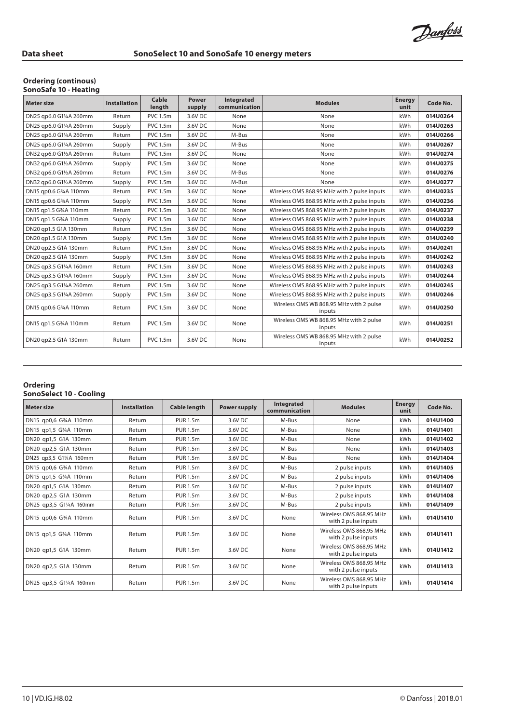Danfoss

## **Ordering (continous)**

| <b>SonoSafe 10 - Heating</b> |  |  |
|------------------------------|--|--|
|------------------------------|--|--|

| <b>Meter size</b>       | <b>Installation</b> | Cable<br>length | Power<br>supply | Integrated<br>communication | <b>Modules</b>                                    | <b>Energy</b><br>unit | Code No. |
|-------------------------|---------------------|-----------------|-----------------|-----------------------------|---------------------------------------------------|-----------------------|----------|
| DN25 qp6.0 G11/4A 260mm | Return              | <b>PVC 1.5m</b> | 3.6V DC         | None                        | None                                              | kWh                   | 014U0264 |
| DN25 qp6.0 G11/4A 260mm | Supply              | <b>PVC 1.5m</b> | 3.6V DC         | None                        | None                                              | kWh                   | 014U0265 |
| DN25 qp6.0 G11/4A 260mm | Return              | <b>PVC 1.5m</b> | 3.6V DC         | M-Bus                       | None                                              | kWh                   | 014U0266 |
| DN25 qp6.0 G11/4A 260mm | Supply              | <b>PVC 1.5m</b> | 3.6V DC         | M-Bus                       | None                                              | kWh                   | 014U0267 |
| DN32 qp6.0 G11/2A 260mm | Return              | <b>PVC 1.5m</b> | 3.6V DC         | None                        | None                                              | kWh                   | 014U0274 |
| DN32 qp6.0 G11/2A 260mm | Supply              | <b>PVC 1.5m</b> | 3.6V DC         | None                        | None                                              | kWh                   | 014U0275 |
| DN32 qp6.0 G11/2A 260mm | Return              | <b>PVC 1.5m</b> | 3.6V DC         | M-Bus                       | None                                              | kWh                   | 014U0276 |
| DN32 qp6.0 G11/2A 260mm | Supply              | <b>PVC 1.5m</b> | 3.6V DC         | M-Bus                       | None                                              | kWh                   | 014U0277 |
| DN15 qp0.6 G34A 110mm   | Return              | <b>PVC 1.5m</b> | 3.6V DC         | None                        | Wireless OMS 868.95 MHz with 2 pulse inputs       | kWh                   | 014U0235 |
| DN15 gp0.6 G34A 110mm   | Supply              | <b>PVC 1.5m</b> | 3.6V DC         | None                        | Wireless OMS 868.95 MHz with 2 pulse inputs       | kWh                   | 014U0236 |
| DN15 qp1.5 G3/4A 110mm  | Return              | <b>PVC 1.5m</b> | 3.6V DC         | None                        | Wireless OMS 868.95 MHz with 2 pulse inputs       | kWh                   | 014U0237 |
| DN15 qp1.5 G34A 110mm   | Supply              | <b>PVC 1.5m</b> | 3.6V DC         | None                        | Wireless OMS 868.95 MHz with 2 pulse inputs       | kWh                   | 014U0238 |
| DN20 qp1.5 G1A 130mm    | Return              | <b>PVC 1.5m</b> | 3.6V DC         | None                        | Wireless OMS 868.95 MHz with 2 pulse inputs       | kWh                   | 014U0239 |
| DN20 gp1.5 G1A 130mm    | Supply              | <b>PVC 1.5m</b> | 3.6V DC         | None                        | Wireless OMS 868.95 MHz with 2 pulse inputs       | kWh                   | 014U0240 |
| DN20 qp2.5 G1A 130mm    | Return              | <b>PVC 1.5m</b> | 3.6V DC         | None                        | Wireless OMS 868.95 MHz with 2 pulse inputs       | kWh                   | 014U0241 |
| DN20 qp2.5 G1A 130mm    | Supply              | <b>PVC 1.5m</b> | 3.6V DC         | None                        | Wireless OMS 868.95 MHz with 2 pulse inputs       | kWh                   | 014U0242 |
| DN25 qp3.5 G11/4A 160mm | Return              | <b>PVC 1.5m</b> | 3.6V DC         | None                        | Wireless OMS 868.95 MHz with 2 pulse inputs       | kWh                   | 014U0243 |
| DN25 qp3.5 G11/4A 160mm | Supply              | <b>PVC 1.5m</b> | 3.6V DC         | None                        | Wireless OMS 868.95 MHz with 2 pulse inputs       | kWh                   | 014U0244 |
| DN25 qp3.5 G11/4A 260mm | Return              | <b>PVC 1.5m</b> | 3.6V DC         | None                        | Wireless OMS 868.95 MHz with 2 pulse inputs       | kWh                   | 014U0245 |
| DN25 qp3.5 G11/4A 260mm | Supply              | <b>PVC 1.5m</b> | 3.6V DC         | None                        | Wireless OMS 868.95 MHz with 2 pulse inputs       | kWh                   | 014U0246 |
| DN15 gp0.6 G34A 110mm   | Return              | <b>PVC 1.5m</b> | 3.6V DC         | None                        | Wireless OMS WB 868.95 MHz with 2 pulse<br>inputs | kWh                   | 014U0250 |
| DN15 qp1.5 G34A 110mm   | Return              | <b>PVC 1.5m</b> | 3.6V DC         | None                        | Wireless OMS WB 868.95 MHz with 2 pulse<br>inputs | kWh                   | 014U0251 |
| DN20 qp2.5 G1A 130mm    | Return              | <b>PVC 1.5m</b> | 3.6V DC         | None                        | Wireless OMS WB 868.95 MHz with 2 pulse<br>inputs | kWh                   | 014U0252 |

### **Ordering SonoSelect 10 - Cooling**

| <b>Meter size</b>      | <b>Installation</b> | <b>Cable length</b> | <b>Power supply</b> | Integrated<br>communication | <b>Modules</b>                                 | <b>Energy</b><br>unit | Code No. |
|------------------------|---------------------|---------------------|---------------------|-----------------------------|------------------------------------------------|-----------------------|----------|
| DN15 qp0,6 G34A 110mm  | Return              | <b>PUR 1.5m</b>     | 3.6V DC             | M-Bus                       | None                                           | kWh                   | 014U1400 |
| DN15 qp1,5 G34A 110mm  | Return              | <b>PUR 1.5m</b>     | 3.6V DC             | M-Bus                       | None                                           | kWh                   | 014U1401 |
| DN20 qp1,5 G1A 130mm   | Return              | <b>PUR 1.5m</b>     | 3.6V DC             | M-Bus                       | None                                           | kWh                   | 014U1402 |
| DN20 qp2,5 G1A 130mm   | Return              | <b>PUR 1.5m</b>     | 3.6V DC             | M-Bus                       | None                                           | kWh                   | 014U1403 |
| DN25 qp3,5 G1¼A 160mm  | Return              | <b>PUR 1.5m</b>     | 3.6V DC             | M-Bus                       | None                                           | kWh                   | 014U1404 |
| DN15 qp0,6 G3/4A 110mm | Return              | <b>PUR 1.5m</b>     | 3.6V DC             | M-Bus                       | 2 pulse inputs                                 | kWh                   | 014U1405 |
| DN15 qp1,5 G34A 110mm  | Return              | <b>PUR 1.5m</b>     | 3.6V DC             | M-Bus                       | 2 pulse inputs                                 | kWh                   | 014U1406 |
| DN20 qp1,5 G1A 130mm   | Return              | <b>PUR 1.5m</b>     | 3.6V DC             | M-Bus                       | 2 pulse inputs                                 | kWh                   | 014U1407 |
| DN20 qp2,5 G1A 130mm   | Return              | <b>PUR 1.5m</b>     | 3.6V DC             | M-Bus                       | 2 pulse inputs                                 | kWh                   | 014U1408 |
| DN25 qp3,5 G1¼A 160mm  | Return              | <b>PUR 1.5m</b>     | 3.6V DC             | M-Bus                       | 2 pulse inputs                                 | kWh                   | 014U1409 |
| DN15 qp0,6 G34A 110mm  | Return              | <b>PUR 1.5m</b>     | 3.6V DC             | None                        | Wireless OMS 868.95 MHz<br>with 2 pulse inputs | kWh                   | 014U1410 |
| DN15 qp1,5 G34A 110mm  | Return              | <b>PUR 1.5m</b>     | 3.6V DC             | None                        | Wireless OMS 868.95 MHz<br>with 2 pulse inputs | kWh                   | 014U1411 |
| DN20 qp1,5 G1A 130mm   | Return              | <b>PUR 1.5m</b>     | 3.6V DC             | None                        | Wireless OMS 868.95 MHz<br>with 2 pulse inputs | kWh                   | 014U1412 |
| DN20 qp2,5 G1A 130mm   | Return              | <b>PUR 1.5m</b>     | 3.6V DC             | None                        | Wireless OMS 868.95 MHz<br>with 2 pulse inputs | kWh                   | 014U1413 |
| DN25 qp3,5 G1¼A 160mm  | Return              | <b>PUR 1.5m</b>     | 3.6V DC             | None                        | Wireless OMS 868.95 MHz<br>with 2 pulse inputs | kWh                   | 014U1414 |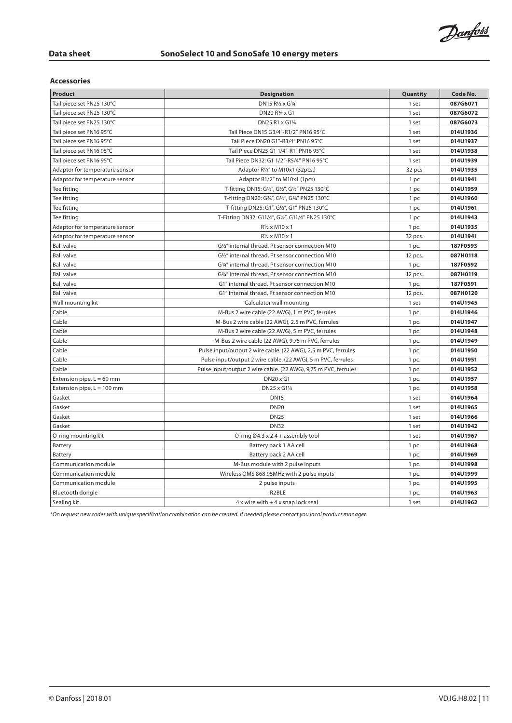Danfoss

### **Accessories**

| Product                        | <b>Designation</b>                                              | Quantity | Code No. |
|--------------------------------|-----------------------------------------------------------------|----------|----------|
| Tail piece set PN25 130°C      | DN15 R1/2 x G3/4                                                | 1 set    | 087G6071 |
| Tail piece set PN25 130°C      | DN20 R3/4 x G1                                                  | 1 set    | 087G6072 |
| Tail piece set PN25 130°C      | DN25 R1 x G11/4                                                 | 1 set    | 087G6073 |
| Tail piece set PN16 95°C       | Tail Piece DN15 G3/4"-R1/2" PN16 95°C                           | 1 set    | 014U1936 |
| Tail piece set PN16 95°C       | Tail Piece DN20 G1"-R3/4" PN16 95°C                             | 1 set    | 014U1937 |
| Tail piece set PN16 95°C       | Tail Piece DN25 G1 1/4"-R1" PN16 95°C                           | 1 set    | 014U1938 |
| Tail piece set PN16 95°C       | Tail Piece DN32: G1 1/2"-R5/4" PN16 95°C                        | 1 set    | 014U1939 |
| Adaptor for temperature sensor | Adaptor R1/2" to M10x1 (32pcs.)                                 | 32 pcs   | 014U1935 |
| Adaptor for temperature sensor | Adaptor R1/2" to M10x1 (1pcs)                                   | 1 pc     | 014U1941 |
| Tee fitting                    | T-fitting DN15: G1/2", G1/2", G1/2" PN25 130°C                  | 1 pc     | 014U1959 |
| Tee fitting                    | T-fitting DN20: G3/4", G1/2", G3/4" PN25 130°C                  | 1 pc     | 014U1960 |
| Tee fitting                    | T-fitting DN25: G1", G1/2", G1" PN25 130°C                      | 1 pc     | 014U1961 |
| Tee fitting                    | T-Fitting DN32: G11/4", G1/2", G11/4" PN25 130°C                | 1 pc     | 014U1943 |
| Adaptor for temperature sensor | $R\frac{1}{2}$ x M10 x 1                                        | 1 pc.    | 014U1935 |
| Adaptor for temperature sensor | R1/2 x M10 x 1                                                  | 32 pcs.  | 014U1941 |
| <b>Ball valve</b>              | G1/2" internal thread, Pt sensor connection M10                 | 1 pc.    | 187F0593 |
| <b>Ball valve</b>              | G1/2" internal thread, Pt sensor connection M10                 | 12 pcs.  | 087H0118 |
| <b>Ball valve</b>              | G3/4" internal thread, Pt sensor connection M10                 | 1 pc.    | 187F0592 |
| <b>Ball valve</b>              | G3/4" internal thread, Pt sensor connection M10                 | 12 pcs.  | 087H0119 |
| <b>Ball valve</b>              | G1" internal thread, Pt sensor connection M10                   | 1 pc.    | 187F0591 |
| <b>Ball valve</b>              | G1" internal thread, Pt sensor connection M10                   | 12 pcs.  | 087H0120 |
| Wall mounting kit              | Calculator wall mounting                                        | 1 set    | 014U1945 |
| Cable                          | M-Bus 2 wire cable (22 AWG), 1 m PVC, ferrules                  | 1 pc.    | 014U1946 |
| Cable                          | M-Bus 2 wire cable (22 AWG), 2.5 m PVC, ferrules                | 1 pc.    | 014U1947 |
| Cable                          | M-Bus 2 wire cable (22 AWG), 5 m PVC, ferrules                  | 1 pc.    | 014U1948 |
| Cable                          | M-Bus 2 wire cable (22 AWG), 9.75 m PVC, ferrules               | 1 pc.    | 014U1949 |
| Cable                          | Pulse input/output 2 wire cable. (22 AWG), 2,5 m PVC, ferrules  | 1 pc.    | 014U1950 |
| Cable                          | Pulse input/output 2 wire cable. (22 AWG), 5 m PVC, ferrules    | 1 pc.    | 014U1951 |
| Cable                          | Pulse input/output 2 wire cable. (22 AWG), 9,75 m PVC, ferrules | 1 pc.    | 014U1952 |
| Extension pipe, $L = 60$ mm    | DN20 x G1                                                       | 1 pc.    | 014U1957 |
| Extension pipe, $L = 100$ mm   | DN25 x G11/4                                                    | 1 pc.    | 014U1958 |
| Gasket                         | <b>DN15</b>                                                     | 1 set    | 014U1964 |
| Gasket                         | <b>DN20</b>                                                     | 1 set    | 014U1965 |
| Gasket                         | <b>DN25</b>                                                     | 1 set    | 014U1966 |
| Gasket                         | <b>DN32</b>                                                     | 1 set    | 014U1942 |
| O-ring mounting kit            | O-ring Ø4.3 x 2.4 + assembly tool                               | 1 set    | 014U1967 |
| Battery                        | Battery pack 1 AA cell                                          | 1 pc.    | 014U1968 |
| Battery                        | Battery pack 2 AA cell                                          | $1$ pc.  | 014U1969 |
| Communication module           | M-Bus module with 2 pulse inputs                                | 1 pc.    | 014U1998 |
| Communication module           | Wireless OMS 868.95MHz with 2 pulse inputs                      | 1 pc.    | 014U1999 |
| Communication module           | 2 pulse inputs                                                  | 1 pc.    | 014U1995 |
| Bluetooth dongle               | IR2BLE                                                          | 1 pc.    | 014U1963 |
| Sealing kit                    | $4x$ wire with $+4x$ snap lock seal                             | 1 set    | 014U1962 |

*\*On request new codes with unique specification combination can be created. If needed please contact you local product manager.*